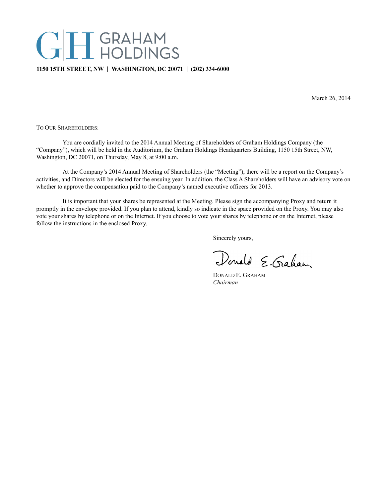# T GRAHAM<br>I HOLDINGS

# **1150 15TH STREET, NW** | **WASHINGTON, DC 20071** | **(202) 334-6000**

March 26, 2014

TO OUR SHAREHOLDERS:

You are cordially invited to the 2014 Annual Meeting of Shareholders of Graham Holdings Company (the "Company"), which will be held in the Auditorium, the Graham Holdings Headquarters Building, 1150 15th Street, NW, Washington, DC 20071, on Thursday, May 8, at 9:00 a.m.

At the Company's 2014 Annual Meeting of Shareholders (the "Meeting"), there will be a report on the Company's activities, and Directors will be elected for the ensuing year. In addition, the Class A Shareholders will have an advisory vote on whether to approve the compensation paid to the Company's named executive officers for 2013.

It is important that your shares be represented at the Meeting. Please sign the accompanying Proxy and return it promptly in the envelope provided. If you plan to attend, kindly so indicate in the space provided on the Proxy. You may also vote your shares by telephone or on the Internet. If you choose to vote your shares by telephone or on the Internet, please follow the instructions in the enclosed Proxy.

Sincerely yours,

Donald E. Gaham

DONALD E. GRAHAM *Chairman*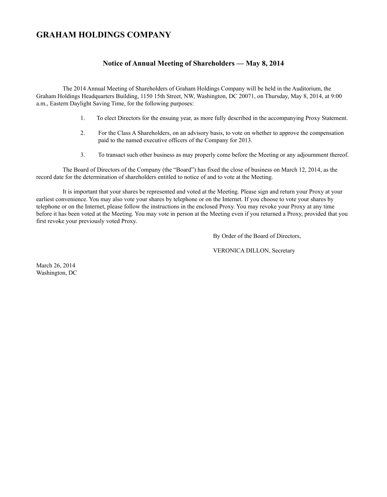# **GRAHAM HOLDINGS COMPANY**

# **Notice of Annual Meeting of Shareholders — May 8, 2014**

The 2014 Annual Meeting of Shareholders of Graham Holdings Company will be held in the Auditorium, the Graham Holdings Headquarters Building, 1150 15th Street, NW, Washington, DC 20071, on Thursday, May 8, 2014, at 9:00 a.m., Eastern Daylight Saving Time, for the following purposes:

- 1. To elect Directors for the ensuing year, as more fully described in the accompanying Proxy Statement.
- 2. For the Class A Shareholders, on an advisory basis, to vote on whether to approve the compensation paid to the named executive officers of the Company for 2013.
- 3. To transact such other business as may properly come before the Meeting or any adjournment thereof.

The Board of Directors of the Company (the "Board") has fixed the close of business on March 12, 2014, as the record date for the determination of shareholders entitled to notice of and to vote at the Meeting.

It is important that your shares be represented and voted at the Meeting. Please sign and return your Proxy at your earliest convenience. You may also vote your shares by telephone or on the Internet. If you choose to vote your shares by telephone or on the Internet, please follow the instructions in the enclosed Proxy. You may revoke your Proxy at any time before it has been voted at the Meeting. You may vote in person at the Meeting even if you returned a Proxy, provided that you first revoke your previously voted Proxy.

By Order of the Board of Directors,

VERONICA DILLON, Secretary

March 26, 2014 Washington, DC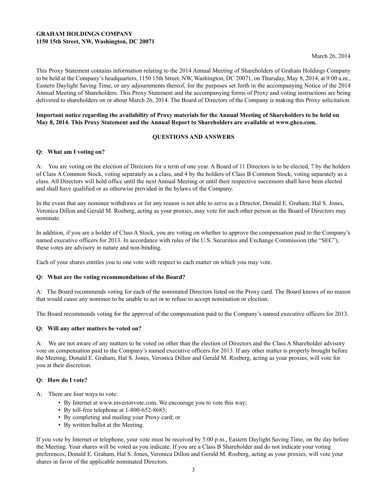# **GRAHAM HOLDINGS COMPANY 1150 15th Street, NW, Washington, DC 20071**

This Proxy Statement contains information relating to the 2014 Annual Meeting of Shareholders of Graham Holdings Company to be held at the Company's headquarters, 1150 15th Street, NW, Washington, DC 20071, on Thursday, May 8, 2014, at 9:00 a.m., Eastern Daylight Saving Time, or any adjournments thereof, for the purposes set forth in the accompanying Notice of the 2014 Annual Meeting of Shareholders. This Proxy Statement and the accompanying forms of Proxy and voting instructions are being delivered to shareholders on or about March 26, 2014. The Board of Directors of the Company is making this Proxy solicitation.

### **Important notice regarding the availability of Proxy materials for the Annual Meeting of Shareholders to be held on May 8, 2014. This Proxy Statement and the Annual Report to Shareholders are available at www.ghco.com.**

# **QUESTIONS AND ANSWERS**

# **Q: What am I voting on?**

A: You are voting on the election of Directors for a term of one year. A Board of 11 Directors is to be elected, 7 by the holders of Class A Common Stock, voting separately as a class, and 4 by the holders of Class B Common Stock, voting separately as a class. All Directors will hold office until the next Annual Meeting or until their respective successors shall have been elected and shall have qualified or as otherwise provided in the bylaws of the Company.

In the event that any nominee withdraws or for any reason is not able to serve as a Director, Donald E. Graham, Hal S. Jones, Veronica Dillon and Gerald M. Rosberg, acting as your proxies, may vote for such other person as the Board of Directors may nominate.

In addition, if you are a holder of Class A Stock, you are voting on whether to approve the compensation paid to the Company's named executive officers for 2013. In accordance with rules of the U.S. Securities and Exchange Commission (the "SEC"), these votes are advisory in nature and non-binding.

Each of your shares entitles you to one vote with respect to each matter on which you may vote.

# **Q: What are the voting recommendations of the Board?**

A: The Board recommends voting for each of the nominated Directors listed on the Proxy card. The Board knows of no reason that would cause any nominee to be unable to act or to refuse to accept nomination or election.

The Board recommends voting for the approval of the compensation paid to the Company's named executive officers for 2013.

# **Q: Will any other matters be voted on?**

A: We are not aware of any matters to be voted on other than the election of Directors and the Class A Shareholder advisory vote on compensation paid to the Company's named executive officers for 2013. If any other matter is properly brought before the Meeting, Donald E. Graham, Hal S. Jones, Veronica Dillon and Gerald M. Rosberg, acting as your proxies, will vote for you at their discretion.

### **Q: How do I vote?**

- A: There are four ways to vote:
	- By Internet at www.investorvote.com. We encourage you to vote this way;
	- By toll-free telephone at 1-800-652-8683;
	- By completing and mailing your Proxy card; or
	- By written ballot at the Meeting.

If you vote by Internet or telephone, your vote must be received by 5:00 p.m., Eastern Daylight Saving Time, on the day before the Meeting. Your shares will be voted as you indicate. If you are a Class B Shareholder and do not indicate your voting preferences, Donald E. Graham, Hal S. Jones, Veronica Dillon and Gerald M. Rosberg, acting as your proxies, will vote your shares in favor of the applicable nominated Directors.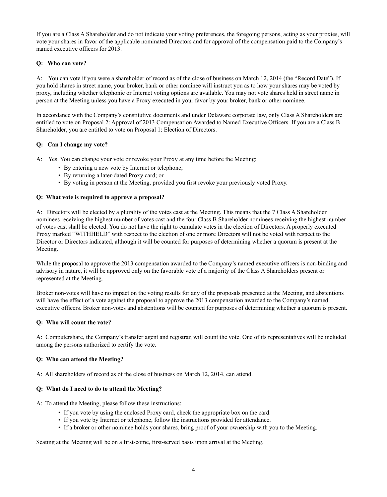If you are a Class A Shareholder and do not indicate your voting preferences, the foregoing persons, acting as your proxies, will vote your shares in favor of the applicable nominated Directors and for approval of the compensation paid to the Company's named executive officers for 2013.

# **Q: Who can vote?**

A: You can vote if you were a shareholder of record as of the close of business on March 12, 2014 (the "Record Date"). If you hold shares in street name, your broker, bank or other nominee will instruct you as to how your shares may be voted by proxy, including whether telephonic or Internet voting options are available. You may not vote shares held in street name in person at the Meeting unless you have a Proxy executed in your favor by your broker, bank or other nominee.

In accordance with the Company's constitutive documents and under Delaware corporate law, only Class A Shareholders are entitled to vote on Proposal 2: Approval of 2013 Compensation Awarded to Named Executive Officers. If you are a Class B Shareholder, you are entitled to vote on Proposal 1: Election of Directors.

# **Q: Can I change my vote?**

A: Yes. You can change your vote or revoke your Proxy at any time before the Meeting:

- By entering a new vote by Internet or telephone;
- By returning a later-dated Proxy card; or
- By voting in person at the Meeting, provided you first revoke your previously voted Proxy.

# **Q: What vote is required to approve a proposal?**

A: Directors will be elected by a plurality of the votes cast at the Meeting. This means that the 7 Class A Shareholder nominees receiving the highest number of votes cast and the four Class B Shareholder nominees receiving the highest number of votes cast shall be elected. You do not have the right to cumulate votes in the election of Directors. A properly executed Proxy marked "WITHHELD" with respect to the election of one or more Directors will not be voted with respect to the Director or Directors indicated, although it will be counted for purposes of determining whether a quorum is present at the Meeting.

While the proposal to approve the 2013 compensation awarded to the Company's named executive officers is non-binding and advisory in nature, it will be approved only on the favorable vote of a majority of the Class A Shareholders present or represented at the Meeting.

Broker non-votes will have no impact on the voting results for any of the proposals presented at the Meeting, and abstentions will have the effect of a vote against the proposal to approve the 2013 compensation awarded to the Company's named executive officers. Broker non-votes and abstentions will be counted for purposes of determining whether a quorum is present.

# **Q: Who will count the vote?**

A: Computershare, the Company's transfer agent and registrar, will count the vote. One of its representatives will be included among the persons authorized to certify the vote.

# **Q: Who can attend the Meeting?**

A: All shareholders of record as of the close of business on March 12, 2014, can attend.

# **Q: What do I need to do to attend the Meeting?**

A: To attend the Meeting, please follow these instructions:

- If you vote by using the enclosed Proxy card, check the appropriate box on the card.
- If you vote by Internet or telephone, follow the instructions provided for attendance.
- If a broker or other nominee holds your shares, bring proof of your ownership with you to the Meeting.

Seating at the Meeting will be on a first-come, first-served basis upon arrival at the Meeting.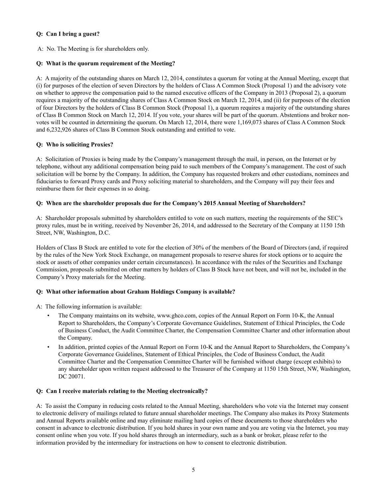# **Q: Can I bring a guest?**

A: No. The Meeting is for shareholders only.

# **Q: What is the quorum requirement of the Meeting?**

A: A majority of the outstanding shares on March 12, 2014, constitutes a quorum for voting at the Annual Meeting, except that (i) for purposes of the election of seven Directors by the holders of Class A Common Stock (Proposal 1) and the advisory vote on whether to approve the compensation paid to the named executive officers of the Company in 2013 (Proposal 2), a quorum requires a majority of the outstanding shares of Class A Common Stock on March 12, 2014, and (ii) for purposes of the election of four Directors by the holders of Class B Common Stock (Proposal 1), a quorum requires a majority of the outstanding shares of Class B Common Stock on March 12, 2014. If you vote, your shares will be part of the quorum. Abstentions and broker nonvotes will be counted in determining the quorum. On March 12, 2014, there were 1,169,073 shares of Class A Common Stock and 6,232,926 shares of Class B Common Stock outstanding and entitled to vote.

# **Q: Who is soliciting Proxies?**

A: Solicitation of Proxies is being made by the Company's management through the mail, in person, on the Internet or by telephone, without any additional compensation being paid to such members of the Company's management. The cost of such solicitation will be borne by the Company. In addition, the Company has requested brokers and other custodians, nominees and fiduciaries to forward Proxy cards and Proxy soliciting material to shareholders, and the Company will pay their fees and reimburse them for their expenses in so doing.

# **Q: When are the shareholder proposals due for the Company's 2015 Annual Meeting of Shareholders?**

A: Shareholder proposals submitted by shareholders entitled to vote on such matters, meeting the requirements of the SEC's proxy rules, must be in writing, received by November 26, 2014, and addressed to the Secretary of the Company at 1150 15th Street, NW, Washington, D.C.

Holders of Class B Stock are entitled to vote for the election of 30% of the members of the Board of Directors (and, if required by the rules of the New York Stock Exchange, on management proposals to reserve shares for stock options or to acquire the stock or assets of other companies under certain circumstances). In accordance with the rules of the Securities and Exchange Commission, proposals submitted on other matters by holders of Class B Stock have not been, and will not be, included in the Company's Proxy materials for the Meeting.

# **Q: What other information about Graham Holdings Company is available?**

A: The following information is available:

- The Company maintains on its website, www.ghco.com, copies of the Annual Report on Form 10-K, the Annual Report to Shareholders, the Company's Corporate Governance Guidelines, Statement of Ethical Principles, the Code of Business Conduct, the Audit Committee Charter, the Compensation Committee Charter and other information about the Company.
- In addition, printed copies of the Annual Report on Form 10-K and the Annual Report to Shareholders, the Company's Corporate Governance Guidelines, Statement of Ethical Principles, the Code of Business Conduct, the Audit Committee Charter and the Compensation Committee Charter will be furnished without charge (except exhibits) to any shareholder upon written request addressed to the Treasurer of the Company at 1150 15th Street, NW, Washington, DC 20071.

# **Q: Can I receive materials relating to the Meeting electronically?**

A: To assist the Company in reducing costs related to the Annual Meeting, shareholders who vote via the Internet may consent to electronic delivery of mailings related to future annual shareholder meetings. The Company also makes its Proxy Statements and Annual Reports available online and may eliminate mailing hard copies of these documents to those shareholders who consent in advance to electronic distribution. If you hold shares in your own name and you are voting via the Internet, you may consent online when you vote. If you hold shares through an intermediary, such as a bank or broker, please refer to the information provided by the intermediary for instructions on how to consent to electronic distribution.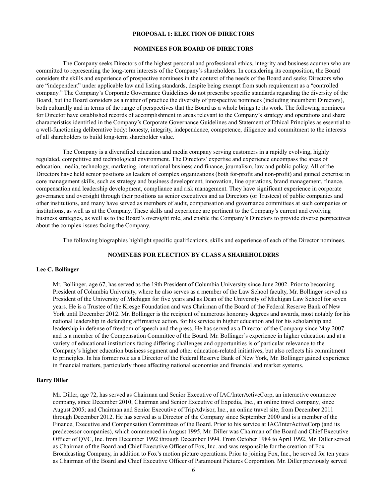### **PROPOSAL 1: ELECTION OF DIRECTORS**

### **NOMINEES FOR BOARD OF DIRECTORS**

The Company seeks Directors of the highest personal and professional ethics, integrity and business acumen who are committed to representing the long-term interests of the Company's shareholders. In considering its composition, the Board considers the skills and experience of prospective nominees in the context of the needs of the Board and seeks Directors who are "independent" under applicable law and listing standards, despite being exempt from such requirement as a "controlled company." The Company's Corporate Governance Guidelines do not prescribe specific standards regarding the diversity of the Board, but the Board considers as a matter of practice the diversity of prospective nominees (including incumbent Directors), both culturally and in terms of the range of perspectives that the Board as a whole brings to its work. The following nominees for Director have established records of accomplishment in areas relevant to the Company's strategy and operations and share characteristics identified in the Company's Corporate Governance Guidelines and Statement of Ethical Principles as essential to a well-functioning deliberative body: honesty, integrity, independence, competence, diligence and commitment to the interests of all shareholders to build long-term shareholder value.

The Company is a diversified education and media company serving customers in a rapidly evolving, highly regulated, competitive and technological environment. The Directors' expertise and experience encompass the areas of education, media, technology, marketing, international business and finance, journalism, law and public policy. All of the Directors have held senior positions as leaders of complex organizations (both for-profit and non-profit) and gained expertise in core management skills, such as strategy and business development, innovation, line operations, brand management, finance, compensation and leadership development, compliance and risk management. They have significant experience in corporate governance and oversight through their positions as senior executives and as Directors (or Trustees) of public companies and other institutions, and many have served as members of audit, compensation and governance committees at such companies or institutions, as well as at the Company. These skills and experience are pertinent to the Company's current and evolving business strategies, as well as to the Board's oversight role, and enable the Company's Directors to provide diverse perspectives about the complex issues facing the Company.

The following biographies highlight specific qualifications, skills and experience of each of the Director nominees.

### **NOMINEES FOR ELECTION BY CLASS A SHAREHOLDERS**

### **Lee C. Bollinger**

Mr. Bollinger, age 67, has served as the 19th President of Columbia University since June 2002. Prior to becoming President of Columbia University, where he also serves as a member of the Law School faculty, Mr. Bollinger served as President of the University of Michigan for five years and as Dean of the University of Michigan Law School for seven years. He is a Trustee of the Kresge Foundation and was Chairman of the Board of the Federal Reserve Bank of New York until December 2012. Mr. Bollinger is the recipient of numerous honorary degrees and awards, most notably for his national leadership in defending affirmative action, for his service in higher education and for his scholarship and leadership in defense of freedom of speech and the press. He has served as a Director of the Company since May 2007 and is a member of the Compensation Committee of the Board. Mr. Bollinger's experience in higher education and at a variety of educational institutions facing differing challenges and opportunities is of particular relevance to the Company's higher education business segment and other education-related initiatives, but also reflects his commitment to principles. In his former role as a Director of the Federal Reserve Bank of New York, Mr. Bollinger gained experience in financial matters, particularly those affecting national economies and financial and market systems.

### **Barry Diller**

Mr. Diller, age 72, has served as Chairman and Senior Executive of IAC/InterActiveCorp, an interactive commerce company, since December 2010; Chairman and Senior Executive of Expedia, Inc., an online travel company, since August 2005; and Chairman and Senior Executive of TripAdvisor, Inc., an online travel site, from December 2011 through December 2012. He has served as a Director of the Company since September 2000 and is a member of the Finance, Executive and Compensation Committees of the Board. Prior to his service at IAC/InterActiveCorp (and its predecessor companies), which commenced in August 1995, Mr. Diller was Chairman of the Board and Chief Executive Officer of QVC, Inc. from December 1992 through December 1994. From October 1984 to April 1992, Mr. Diller served as Chairman of the Board and Chief Executive Officer of Fox, Inc. and was responsible for the creation of Fox Broadcasting Company, in addition to Fox's motion picture operations. Prior to joining Fox, Inc., he served for ten years as Chairman of the Board and Chief Executive Officer of Paramount Pictures Corporation. Mr. Diller previously served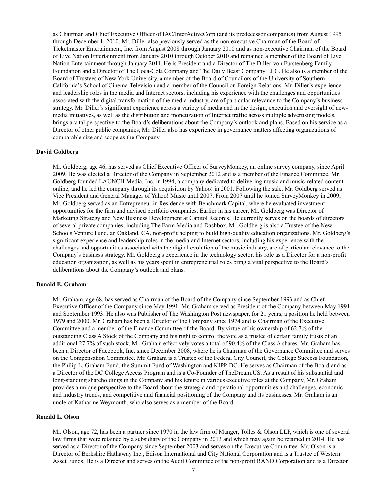as Chairman and Chief Executive Officer of IAC/InterActiveCorp (and its predecessor companies) from August 1995 through December 1, 2010. Mr. Diller also previously served as the non-executive Chairman of the Board of Ticketmaster Entertainment, Inc. from August 2008 through January 2010 and as non-executive Chairman of the Board of Live Nation Entertainment from January 2010 through October 2010 and remained a member of the Board of Live Nation Entertainment through January 2011. He is President and a Director of The Diller-von Furstenberg Family Foundation and a Director of The Coca-Cola Company and The Daily Beast Company LLC. He also is a member of the Board of Trustees of New York University, a member of the Board of Councilors of the University of Southern California's School of Cinema-Television and a member of the Council on Foreign Relations. Mr. Diller's experience and leadership roles in the media and Internet sectors, including his experience with the challenges and opportunities associated with the digital transformation of the media industry, are of particular relevance to the Company's business strategy. Mr. Diller's significant experience across a variety of media and in the design, execution and oversight of newmedia initiatives, as well as the distribution and monetization of Internet traffic across multiple advertising models, brings a vital perspective to the Board's deliberations about the Company's outlook and plans. Based on his service as a Director of other public companies, Mr. Diller also has experience in governance matters affecting organizations of comparable size and scope as the Company.

### **David Goldberg**

Mr. Goldberg, age 46, has served as Chief Executive Officer of SurveyMonkey, an online survey company, since April 2009. He was elected a Director of the Company in September 2012 and is a member of the Finance Committee. Mr. Goldberg founded LAUNCH Media, Inc. in 1994, a company dedicated to delivering music and music-related content online, and he led the company through its acquisition by Yahoo! in 2001. Following the sale, Mr. Goldberg served as Vice President and General Manager of Yahoo! Music until 2007. From 2007 until he joined SurveyMonkey in 2009, Mr. Goldberg served as an Entrepreneur in Residence with Benchmark Capital, where he evaluated investment opportunities for the firm and advised portfolio companies. Earlier in his career, Mr. Goldberg was Director of Marketing Strategy and New Business Development at Capitol Records. He currently serves on the boards of directors of several private companies, including The Farm Media and Dashbox. Mr. Goldberg is also a Trustee of the New Schools Venture Fund, an Oakland, CA, non-profit helping to build high-quality education organizations. Mr. Goldberg's significant experience and leadership roles in the media and Internet sectors, including his experience with the challenges and opportunities associated with the digital evolution of the music industry, are of particular relevance to the Company's business strategy. Mr. Goldberg's experience in the technology sector, his role as a Director for a non-profit education organization, as well as his years spent in entrepreneurial roles bring a vital perspective to the Board's deliberations about the Company's outlook and plans.

### **Donald E. Graham**

Mr. Graham, age 68, has served as Chairman of the Board of the Company since September 1993 and as Chief Executive Officer of the Company since May 1991. Mr. Graham served as President of the Company between May 1991 and September 1993. He also was Publisher of The Washington Post newspaper, for 21 years, a position he held between 1979 and 2000. Mr. Graham has been a Director of the Company since 1974 and is Chairman of the Executive Committee and a member of the Finance Committee of the Board. By virtue of his ownership of 62.7% of the outstanding Class A Stock of the Company and his right to control the vote as a trustee of certain family trusts of an additional 27.7% of such stock, Mr. Graham effectively votes a total of 90.4% of the Class A shares. Mr. Graham has been a Director of Facebook, Inc. since December 2008, where he is Chairman of the Governance Committee and serves on the Compensation Committee. Mr. Graham is a Trustee of the Federal City Council, the College Success Foundation, the Philip L. Graham Fund, the Summit Fund of Washington and KIPP-DC. He serves as Chairman of the Board and as a Director of the DC College Access Program and is a Co-Founder of TheDream.US. As a result of his substantial and long-standing shareholdings in the Company and his tenure in various executive roles at the Company, Mr. Graham provides a unique perspective to the Board about the strategic and operational opportunities and challenges, economic and industry trends, and competitive and financial positioning of the Company and its businesses. Mr. Graham is an uncle of Katharine Weymouth, who also serves as a member of the Board.

### **Ronald L. Olson**

Mr. Olson, age 72, has been a partner since 1970 in the law firm of Munger, Tolles & Olson LLP, which is one of several law firms that were retained by a subsidiary of the Company in 2013 and which may again be retained in 2014. He has served as a Director of the Company since September 2003 and serves on the Executive Committee. Mr. Olson is a Director of Berkshire Hathaway Inc., Edison International and City National Corporation and is a Trustee of Western Asset Funds. He is a Director and serves on the Audit Committee of the non-profit RAND Corporation and is a Director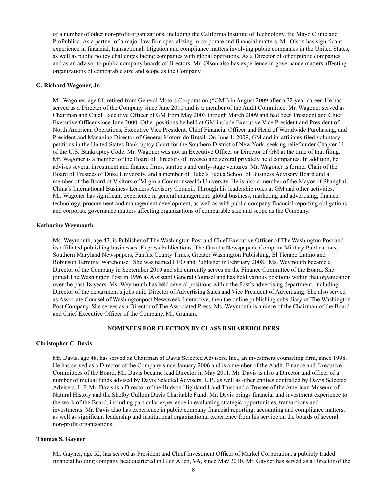of a number of other non-profit organizations, including the California Institute of Technology, the Mayo Clinic and ProPublica. As a partner of a major law firm specializing in corporate and financial matters, Mr. Olson has significant experience in financial, transactional, litigation and compliance matters involving public companies in the United States, as well as public policy challenges facing companies with global operations. As a Director of other public companies and as an advisor to public company boards of directors, Mr. Olson also has experience in governance matters affecting organizations of comparable size and scope as the Company.

### **G. Richard Wagoner, Jr.**

Mr. Wagoner, age 61, retired from General Motors Corporation ("GM") in August 2009 after a 32-year career. He has served as a Director of the Company since June 2010 and is a member of the Audit Committee. Mr. Wagoner served as Chairman and Chief Executive Officer of GM from May 2003 through March 2009 and had been President and Chief Executive Officer since June 2000. Other positions he held at GM include Executive Vice President and President of North American Operations, Executive Vice President, Chief Financial Officer and Head of Worldwide Purchasing, and President and Managing Director of General Motors do Brasil. On June 1, 2009, GM and its affiliates filed voluntary petitions in the United States Bankruptcy Court for the Southern District of New York, seeking relief under Chapter 11 of the U.S. Bankruptcy Code. Mr. Wagoner was not an Executive Officer or Director of GM at the time of that filing. Mr. Wagoner is a member of the Board of Directors of Invesco and several privately held companies. In addition, he advises several investment and finance firms, startup's and early-stage ventures. Mr. Wagoner is former Chair of the Board of Trustees of Duke University, and a member of Duke's Fuqua School of Business Advisory Board and a member of the Board of Visitors of Virginia Commonwealth University. He is also a member of the Mayor of Shanghai, China's International Business Leaders Advisory Council. Through his leadership roles at GM and other activities, Mr. Wagoner has significant experience in general management, global business, marketing and advertising, finance, technology, procurement and management development, as well as with public company financial reporting obligations and corporate governance matters affecting organizations of comparable size and scope as the Company.

### **Katharine Weymouth**

Ms. Weymouth, age 47, is Publisher of The Washington Post and Chief Executive Officer of The Washington Post and its affiliated publishing businesses: Express Publications, The Gazette Newspapers, Comprint Military Publications, Southern Maryland Newspapers, Fairfax County Times, Greater Washington Publishing, El Tiempo Latino and Robinson Terminal Warehouse. She was named CEO and Publisher in February 2008. Ms. Weymouth became a Director of the Company in September 2010 and she currently serves on the Finance Committee of the Board. She joined The Washington Post in 1996 as Assistant General Counsel and has held various positions within that organization over the past 18 years. Ms. Weymouth has held several positions within the Post's advertising department, including Director of the department's jobs unit, Director of Advertising Sales and Vice President of Advertising. She also served as Associate Counsel of Washingtonpost.Newsweek Interactive, then the online publishing subsidiary of The Washington Post Company. She serves as a Director of The Associated Press. Ms. Weymouth is a niece of the Chairman of the Board and Chief Executive Officer of the Company, Mr. Graham.

### **NOMINEES FOR ELECTION BY CLASS B SHAREHOLDERS**

### **Christopher C. Davis**

Mr. Davis, age 48, has served as Chairman of Davis Selected Advisers, Inc., an investment counseling firm, since 1998. He has served as a Director of the Company since January 2006 and is a member of the Audit, Finance and Executive Committees of the Board. Mr. Davis became lead Director in May 2011. Mr. Davis is also a Director and officer of a number of mutual funds advised by Davis Selected Advisers, L.P., as well as other entities controlled by Davis Selected Advisers, L.P. Mr. Davis is a Director of the Hudson Highland Land Trust and a Trustee of the American Museum of Natural History and the Shelby Cullom Davis Charitable Fund. Mr. Davis brings financial and investment experience to the work of the Board, including particular experience in evaluating strategic opportunities, transactions and investments. Mr. Davis also has experience in public company financial reporting, accounting and compliance matters, as well as significant leadership and institutional organizational experience from his service on the boards of several non-profit organizations.

### **Thomas S. Gayner**

Mr. Gayner, age 52, has served as President and Chief Investment Officer of Markel Corporation, a publicly traded financial holding company headquartered in Glen Allen, VA, since May 2010. Mr. Gayner has served as a Director of the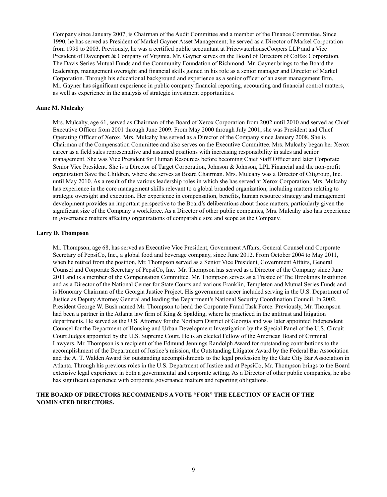Company since January 2007, is Chairman of the Audit Committee and a member of the Finance Committee. Since 1990, he has served as President of Markel Gayner Asset Management; he served as a Director of Markel Corporation from 1998 to 2003. Previously, he was a certified public accountant at PricewaterhouseCoopers LLP and a Vice President of Davenport & Company of Virginia. Mr. Gayner serves on the Board of Directors of Colfax Corporation, The Davis Series Mutual Funds and the Community Foundation of Richmond. Mr. Gayner brings to the Board the leadership, management oversight and financial skills gained in his role as a senior manager and Director of Markel Corporation. Through his educational background and experience as a senior officer of an asset management firm, Mr. Gayner has significant experience in public company financial reporting, accounting and financial control matters, as well as experience in the analysis of strategic investment opportunities.

### **Anne M. Mulcahy**

Mrs. Mulcahy, age 61, served as Chairman of the Board of Xerox Corporation from 2002 until 2010 and served as Chief Executive Officer from 2001 through June 2009. From May 2000 through July 2001, she was President and Chief Operating Officer of Xerox. Mrs. Mulcahy has served as a Director of the Company since January 2008. She is Chairman of the Compensation Committee and also serves on the Executive Committee. Mrs. Mulcahy began her Xerox career as a field sales representative and assumed positions with increasing responsibility in sales and senior management. She was Vice President for Human Resources before becoming Chief Staff Officer and later Corporate Senior Vice President. She is a Director of Target Corporation, Johnson & Johnson, LPL Financial and the non-profit organization Save the Children, where she serves as Board Chairman. Mrs. Mulcahy was a Director of Citigroup, Inc. until May 2010. As a result of the various leadership roles in which she has served at Xerox Corporation, Mrs. Mulcahy has experience in the core management skills relevant to a global branded organization, including matters relating to strategic oversight and execution. Her experience in compensation, benefits, human resource strategy and management development provides an important perspective to the Board's deliberations about those matters, particularly given the significant size of the Company's workforce. As a Director of other public companies, Mrs. Mulcahy also has experience in governance matters affecting organizations of comparable size and scope as the Company.

### **Larry D. Thompson**

Mr. Thompson, age 68, has served as Executive Vice President, Government Affairs, General Counsel and Corporate Secretary of PepsiCo, Inc., a global food and beverage company, since June 2012. From October 2004 to May 2011, when he retired from the position, Mr. Thompson served as a Senior Vice President, Government Affairs, General Counsel and Corporate Secretary of PepsiCo, Inc. Mr. Thompson has served as a Director of the Company since June 2011 and is a member of the Compensation Committee. Mr. Thompson serves as a Trustee of The Brookings Institution and as a Director of the National Center for State Courts and various Franklin, Templeton and Mutual Series Funds and is Honorary Chairman of the Georgia Justice Project. His government career included serving in the U.S. Department of Justice as Deputy Attorney General and leading the Department's National Security Coordination Council. In 2002, President George W. Bush named Mr. Thompson to head the Corporate Fraud Task Force. Previously, Mr. Thompson had been a partner in the Atlanta law firm of King & Spalding, where he practiced in the antitrust and litigation departments. He served as the U.S. Attorney for the Northern District of Georgia and was later appointed Independent Counsel for the Department of Housing and Urban Development Investigation by the Special Panel of the U.S. Circuit Court Judges appointed by the U.S. Supreme Court. He is an elected Fellow of the American Board of Criminal Lawyers. Mr. Thompson is a recipient of the Edmund Jennings Randolph Award for outstanding contributions to the accomplishment of the Department of Justice's mission, the Outstanding Litigator Award by the Federal Bar Association and the A. T. Walden Award for outstanding accomplishments to the legal profession by the Gate City Bar Association in Atlanta. Through his previous roles in the U.S. Department of Justice and at PepsiCo, Mr. Thompson brings to the Board extensive legal experience in both a governmental and corporate setting. As a Director of other public companies, he also has significant experience with corporate governance matters and reporting obligations.

### **THE BOARD OF DIRECTORS RECOMMENDS A VOTE "FOR" THE ELECTION OF EACH OF THE NOMINATED DIRECTORS.**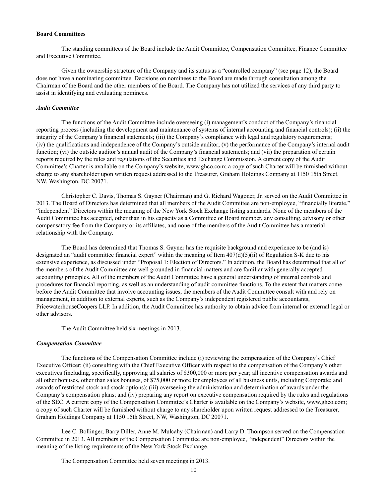### **Board Committees**

The standing committees of the Board include the Audit Committee, Compensation Committee, Finance Committee and Executive Committee.

Given the ownership structure of the Company and its status as a "controlled company" (see page 12), the Board does not have a nominating committee. Decisions on nominees to the Board are made through consultation among the Chairman of the Board and the other members of the Board. The Company has not utilized the services of any third party to assist in identifying and evaluating nominees.

### *Audit Committee*

The functions of the Audit Committee include overseeing (i) management's conduct of the Company's financial reporting process (including the development and maintenance of systems of internal accounting and financial controls); (ii) the integrity of the Company's financial statements; (iii) the Company's compliance with legal and regulatory requirements; (iv) the qualifications and independence of the Company's outside auditor; (v) the performance of the Company's internal audit function; (vi) the outside auditor's annual audit of the Company's financial statements; and (vii) the preparation of certain reports required by the rules and regulations of the Securities and Exchange Commission. A current copy of the Audit Committee's Charter is available on the Company's website, www.ghco.com; a copy of such Charter will be furnished without charge to any shareholder upon written request addressed to the Treasurer, Graham Holdings Company at 1150 15th Street, NW, Washington, DC 20071.

Christopher C. Davis, Thomas S. Gayner (Chairman) and G. Richard Wagoner, Jr. served on the Audit Committee in 2013. The Board of Directors has determined that all members of the Audit Committee are non-employee, "financially literate," "independent" Directors within the meaning of the New York Stock Exchange listing standards. None of the members of the Audit Committee has accepted, other than in his capacity as a Committee or Board member, any consulting, advisory or other compensatory fee from the Company or its affiliates, and none of the members of the Audit Committee has a material relationship with the Company.

The Board has determined that Thomas S. Gayner has the requisite background and experience to be (and is) designated an "audit committee financial expert" within the meaning of Item  $407(d)(5)(ii)$  of Regulation S-K due to his extensive experience, as discussed under "Proposal 1: Election of Directors." In addition, the Board has determined that all of the members of the Audit Committee are well grounded in financial matters and are familiar with generally accepted accounting principles. All of the members of the Audit Committee have a general understanding of internal controls and procedures for financial reporting, as well as an understanding of audit committee functions. To the extent that matters come before the Audit Committee that involve accounting issues, the members of the Audit Committee consult with and rely on management, in addition to external experts, such as the Company's independent registered public accountants, PricewaterhouseCoopers LLP. In addition, the Audit Committee has authority to obtain advice from internal or external legal or other advisors.

The Audit Committee held six meetings in 2013.

### *Compensation Committee*

The functions of the Compensation Committee include (i) reviewing the compensation of the Company's Chief Executive Officer; (ii) consulting with the Chief Executive Officer with respect to the compensation of the Company's other executives (including, specifically, approving all salaries of \$300,000 or more per year; all incentive compensation awards and all other bonuses, other than sales bonuses, of \$75,000 or more for employees of all business units, including Corporate; and awards of restricted stock and stock options); (iii) overseeing the administration and determination of awards under the Company's compensation plans; and (iv) preparing any report on executive compensation required by the rules and regulations of the SEC. A current copy of the Compensation Committee's Charter is available on the Company's website, www.ghco.com; a copy of such Charter will be furnished without charge to any shareholder upon written request addressed to the Treasurer, Graham Holdings Company at 1150 15th Street, NW, Washington, DC 20071.

Lee C. Bollinger, Barry Diller, Anne M. Mulcahy (Chairman) and Larry D. Thompson served on the Compensation Committee in 2013. All members of the Compensation Committee are non-employee, "independent" Directors within the meaning of the listing requirements of the New York Stock Exchange.

The Compensation Committee held seven meetings in 2013.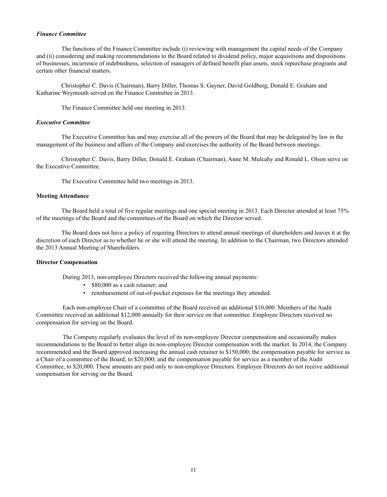### *Finance Committee*

The functions of the Finance Committee include (i) reviewing with management the capital needs of the Company and (ii) considering and making recommendations to the Board related to dividend policy, major acquisitions and dispositions of businesses, incurrence of indebtedness, selection of managers of defined benefit plan assets, stock repurchase programs and certain other financial matters.

Christopher C. Davis (Chairman), Barry Diller, Thomas S. Gayner, David Goldberg, Donald E. Graham and Katharine Weymouth served on the Finance Committee in 2013.

The Finance Committee held one meeting in 2013.

### *Executive Committee*

The Executive Committee has and may exercise all of the powers of the Board that may be delegated by law in the management of the business and affairs of the Company and exercises the authority of the Board between meetings.

Christopher C. Davis, Barry Diller, Donald E. Graham (Chairman), Anne M. Mulcahy and Ronald L. Olson serve on the Executive Committee.

The Executive Committee held two meetings in 2013.

### **Meeting Attendance**

The Board held a total of five regular meetings and one special meeting in 2013. Each Director attended at least 75% of the meetings of the Board and the committees of the Board on which the Director served.

The Board does not have a policy of requiring Directors to attend annual meetings of shareholders and leaves it at the discretion of each Director as to whether he or she will attend the meeting. In addition to the Chairman, two Directors attended the 2013 Annual Meeting of Shareholders.

### **Director Compensation**

During 2013, non-employee Directors received the following annual payments:

- \$80,000 as a cash retainer; and
- reimbursement of out-of-pocket expenses for the meetings they attended.

Each non-employee Chair of a committee of the Board received an additional \$10,000. Members of the Audit Committee received an additional \$12,000 annually for their service on that committee. Employee Directors received no compensation for serving on the Board.

The Company regularly evaluates the level of its non-employee Director compensation and occasionally makes recommendations to the Board to better align its non-employee Director compensation with the market. In 2014, the Company recommended and the Board approved increasing the annual cash retainer to \$150,000; the compensation payable for service as a Chair of a committee of the Board, to \$20,000; and the compensation payable for service as a member of the Audit Committee, to \$20,000. These amounts are paid only to non-employee Directors. Employee Directors do not receive additional compensation for serving on the Board.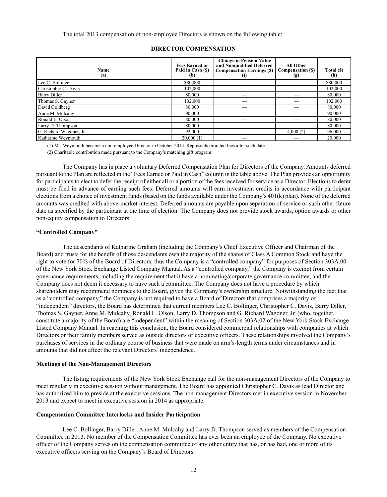| Name<br>(a)             | <b>Fees Earned or</b><br>Paid in Cash (\$)<br>(b) | <b>Change in Pension Value</b><br>and Nonqualified Deferred<br><b>Compensation Earnings (\$)</b><br>(f) | All Other<br><b>Compensation (S)</b><br>(g) | Total (\$)<br>(h) |
|-------------------------|---------------------------------------------------|---------------------------------------------------------------------------------------------------------|---------------------------------------------|-------------------|
| Lee C. Bollinger        | \$80,000                                          |                                                                                                         |                                             | \$80,000          |
| Christopher C. Davis    | 102,000                                           |                                                                                                         |                                             | 102,000           |
| <b>Barry Diller</b>     | 80,000                                            |                                                                                                         |                                             | 80.000            |
| Thomas S. Gayner        | 102,000                                           |                                                                                                         |                                             | 102,000           |
| David Goldberg          | 80,000                                            |                                                                                                         |                                             | 80,000            |
| Anne M. Mulcahy         | 90,000                                            |                                                                                                         |                                             | 90.000            |
| Ronald L. Olson         | 80.000                                            |                                                                                                         |                                             | 80.000            |
| Larry D. Thompson       | 80.000                                            |                                                                                                         |                                             | 80.000            |
| G. Richard Wagoner, Jr. | 92,000                                            |                                                                                                         | 4,000(2)                                    | 96,000            |
| Katharine Weymouth      | 20,000(1)                                         |                                                                                                         |                                             | 20.000            |

# **DIRECTOR COMPENSATION**

(1) Ms. Weymouth became a non-employee Director in October 2013. Represents prorated fees after such date.

(2) Charitable contribution made pursuant to the Company's matching gift program.

The Company has in place a voluntary Deferred Compensation Plan for Directors of the Company. Amounts deferred pursuant to the Plan are reflected in the "Fees Earned or Paid in Cash" column in the table above. The Plan provides an opportunity for participants to elect to defer the receipt of either all or a portion of the fees received for service as a Director. Elections to defer must be filed in advance of earning such fees. Deferred amounts will earn investment credits in accordance with participant elections from a choice of investment funds (based on the funds available under the Company's 401(k) plan). None of the deferred amounts was credited with above-market interest. Deferred amounts are payable upon separation of service or such other future date as specified by the participant at the time of election. The Company does not provide stock awards, option awards or other non-equity compensation to Directors.

### **"Controlled Company"**

The descendants of Katharine Graham (including the Company's Chief Executive Officer and Chairman of the Board) and trusts for the benefit of those descendants own the majority of the shares of Class A Common Stock and have the right to vote for 70% of the Board of Directors; thus the Company is a "controlled company" for purposes of Section 303A.00 of the New York Stock Exchange Listed Company Manual. As a "controlled company," the Company is exempt from certain governance requirements, including the requirement that it have a nominating/corporate governance committee, and the Company does not deem it necessary to have such a committee. The Company does not have a procedure by which shareholders may recommend nominees to the Board, given the Company's ownership structure. Notwithstanding the fact that as a "controlled company," the Company is not required to have a Board of Directors that comprises a majority of "independent" directors, the Board has determined that current members Lee C. Bollinger, Christopher C. Davis, Barry Diller, Thomas S. Gayner, Anne M. Mulcahy, Ronald L. Olson, Larry D. Thompson and G. Richard Wagoner, Jr. (who, together, constitute a majority of the Board) are "independent" within the meaning of Section 303A.02 of the New York Stock Exchange Listed Company Manual. In reaching this conclusion, the Board considered commercial relationships with companies at which Directors or their family members served as outside directors or executive officers. These relationships involved the Company's purchases of services in the ordinary course of business that were made on arm's-length terms under circumstances and in amounts that did not affect the relevant Directors' independence.

### **Meetings of the Non-Management Directors**

The listing requirements of the New York Stock Exchange call for the non-management Directors of the Company to meet regularly in executive session without management. The Board has appointed Christopher C. Davis as lead Director and has authorized him to preside at the executive sessions. The non-management Directors met in executive session in November 2013 and expect to meet in executive session in 2014 as appropriate.

### **Compensation Committee Interlocks and Insider Participation**

Lee C. Bollinger, Barry Diller, Anne M. Mulcahy and Larry D. Thompson served as members of the Compensation Committee in 2013. No member of the Compensation Committee has ever been an employee of the Company. No executive officer of the Company serves on the compensation committee of any other entity that has, or has had, one or more of its executive officers serving on the Company's Board of Directors.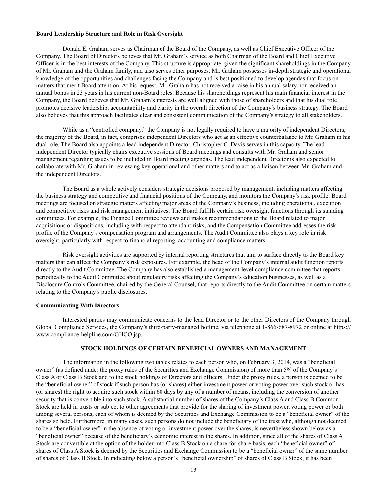### **Board Leadership Structure and Role in Risk Oversight**

Donald E. Graham serves as Chairman of the Board of the Company, as well as Chief Executive Officer of the Company. The Board of Directors believes that Mr. Graham's service as both Chairman of the Board and Chief Executive Officer is in the best interests of the Company. This structure is appropriate, given the significant shareholdings in the Company of Mr. Graham and the Graham family, and also serves other purposes. Mr. Graham possesses in-depth strategic and operational knowledge of the opportunities and challenges facing the Company and is best positioned to develop agendas that focus on matters that merit Board attention. At his request, Mr. Graham has not received a raise in his annual salary nor received an annual bonus in 23 years in his current non-Board roles. Because his shareholdings represent his main financial interest in the Company, the Board believes that Mr. Graham's interests are well aligned with those of shareholders and that his dual role promotes decisive leadership, accountability and clarity in the overall direction of the Company's business strategy. The Board also believes that this approach facilitates clear and consistent communication of the Company's strategy to all stakeholders.

While as a "controlled company," the Company is not legally required to have a majority of independent Directors, the majority of the Board, in fact, comprises independent Directors who act as an effective counterbalance to Mr. Graham in his dual role. The Board also appoints a lead independent Director. Christopher C. Davis serves in this capacity. The lead independent Director typically chairs executive sessions of Board meetings and consults with Mr. Graham and senior management regarding issues to be included in Board meeting agendas. The lead independent Director is also expected to collaborate with Mr. Graham in reviewing key operational and other matters and to act as a liaison between Mr. Graham and the independent Directors.

The Board as a whole actively considers strategic decisions proposed by management, including matters affecting the business strategy and competitive and financial positions of the Company, and monitors the Company's risk profile. Board meetings are focused on strategic matters affecting major areas of the Company's business, including operational, execution and competitive risks and risk management initiatives. The Board fulfills certain risk oversight functions through its standing committees. For example, the Finance Committee reviews and makes recommendations to the Board related to major acquisitions or dispositions, including with respect to attendant risks, and the Compensation Committee addresses the risk profile of the Company's compensation program and arrangements. The Audit Committee also plays a key role in risk oversight, particularly with respect to financial reporting, accounting and compliance matters.

Risk oversight activities are supported by internal reporting structures that aim to surface directly to the Board key matters that can affect the Company's risk exposures. For example, the head of the Company's internal audit function reports directly to the Audit Committee. The Company has also established a management-level compliance committee that reports periodically to the Audit Committee about regulatory risks affecting the Company's education businesses, as well as a Disclosure Controls Committee, chaired by the General Counsel, that reports directly to the Audit Committee on certain matters relating to the Company's public disclosures.

### **Communicating With Directors**

Interested parties may communicate concerns to the lead Director or to the other Directors of the Company through Global Compliance Services, the Company's third-party-managed hotline, via telephone at 1-866-687-8972 or online at https:// www.compliance-helpline.com/GHCO.jsp.

### **STOCK HOLDINGS OF CERTAIN BENEFICIAL OWNERS AND MANAGEMENT**

The information in the following two tables relates to each person who, on February 3, 2014, was a "beneficial owner" (as defined under the proxy rules of the Securities and Exchange Commission) of more than 5% of the Company's Class A or Class B Stock and to the stock holdings of Directors and officers. Under the proxy rules, a person is deemed to be the "beneficial owner" of stock if such person has (or shares) either investment power or voting power over such stock or has (or shares) the right to acquire such stock within 60 days by any of a number of means, including the conversion of another security that is convertible into such stock. A substantial number of shares of the Company's Class A and Class B Common Stock are held in trusts or subject to other agreements that provide for the sharing of investment power, voting power or both among several persons, each of whom is deemed by the Securities and Exchange Commission to be a "beneficial owner" of the shares so held. Furthermore, in many cases, such persons do not include the beneficiary of the trust who, although not deemed to be a "beneficial owner" in the absence of voting or investment power over the shares, is nevertheless shown below as a "beneficial owner" because of the beneficiary's economic interest in the shares. In addition, since all of the shares of Class A Stock are convertible at the option of the holder into Class B Stock on a share-for-share basis, each "beneficial owner" of shares of Class A Stock is deemed by the Securities and Exchange Commission to be a "beneficial owner" of the same number of shares of Class B Stock. In indicating below a person's "beneficial ownership" of shares of Class B Stock, it has been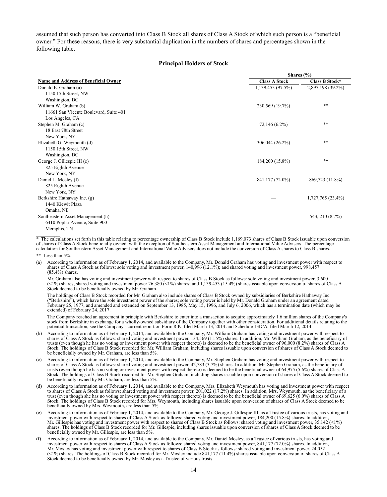assumed that such person has converted into Class B Stock all shares of Class A Stock of which such person is a "beneficial owner." For these reasons, there is very substantial duplication in the numbers of shares and percentages shown in the following table.

### **Principal Holders of Stock**

|                                        | Shares (%)           |                   |  |  |  |  |
|----------------------------------------|----------------------|-------------------|--|--|--|--|
| Name and Address of Beneficial Owner   | <b>Class A Stock</b> | Class B Stock*    |  |  |  |  |
| Donald E. Graham (a)                   | 1,139,453 (97.5%)    | 2,897,198 (39.2%) |  |  |  |  |
| 1150 15th Street, NW                   |                      |                   |  |  |  |  |
| Washington, DC                         |                      |                   |  |  |  |  |
| William W. Graham (b)                  | 230,569 (19.7%)      | $***$             |  |  |  |  |
| 11661 San Vicente Boulevard, Suite 401 |                      |                   |  |  |  |  |
| Los Angeles, CA                        |                      |                   |  |  |  |  |
| Stephen M. Graham (c)                  | 72,146 (6.2%)        | $***$             |  |  |  |  |
| 18 East 78th Street                    |                      |                   |  |  |  |  |
| New York, NY                           |                      |                   |  |  |  |  |
| Elizabeth G. Weymouth (d)              | 306,044 (26.2%)      | $***$             |  |  |  |  |
| 1150 15th Street, NW                   |                      |                   |  |  |  |  |
| Washington, DC                         |                      |                   |  |  |  |  |
| George J. Gillespie III (e)            | 184,200 (15.8%)      | $***$             |  |  |  |  |
| 825 Eighth Avenue                      |                      |                   |  |  |  |  |
| New York, NY                           |                      |                   |  |  |  |  |
| Daniel L. Mosley (f)                   | 841,177 (72.0%)      | 869,723 (11.8%)   |  |  |  |  |
| 825 Eighth Avenue                      |                      |                   |  |  |  |  |
| New York, NY                           |                      |                   |  |  |  |  |
| Berkshire Hathaway Inc. (g)            |                      | 1,727,765 (23.4%) |  |  |  |  |
| 1440 Kiewit Plaza                      |                      |                   |  |  |  |  |
| Omaha, NE                              |                      |                   |  |  |  |  |
| Southeastern Asset Management (h)      |                      | 543, 210 (8.7%)   |  |  |  |  |
| 6410 Poplar Avenue, Suite 900          |                      |                   |  |  |  |  |
| Memphis, TN                            |                      |                   |  |  |  |  |

 $\overline{\text{A}}$  The calculations set forth in this table relating to percentage ownership of Class B Stock include 1,169,073 shares of Class B Stock issuable upon conversion of shares of Class A Stock beneficially owned, with the exception of Southeastern Asset Management and International Value Advisers. The percentage calculation for Southeastern Asset Management and International Value Advisers does not include the conversion of Class A shares to Class B shares.

\*\* Less than 5%.

(a) According to information as of February 1, 2014, and available to the Company, Mr. Donald Graham has voting and investment power with respect to shares of Class A Stock as follows: sole voting and investment power, 140,996 (12.1%); and shared voting and investment power, 998,457 (85.4%) shares.

Mr. Graham also has voting and investment power with respect to shares of Class B Stock as follows: sole voting and investment power, 3,600  $\ll$  1%) shares; shared voting and investment power 26,380 (<1%) shares; and 1,139,453 (15.4%) shares issuable upon conversion of shares of Class A Stock deemed to be beneficially owned by Mr. Graham.

The holdings of Class B Stock recorded for Mr. Graham also include shares of Class B Stock owned by subsidiaries of Berkshire Hathaway Inc. ("Berkshire"), which have the sole investment power of the shares; sole voting power is held by Mr. Donald Graham under an agreement dated February 25, 1977, and amended and extended on September 13, 1985, May 15, 1996, and July 6, 2006, which has a termination date (which may be extended) of February 24, 2017.

The Company reached an agreement in principle with Berkshire to enter into a transaction to acquire approximately 1.6 million shares of the Company's stock from Berkshire in exchange for a wholly-owned subsidiary of the Company together with other consideration. For additional details relating to the potential transaction, see the Company's current report on Form 8-K, filed March 13, 2014 and Schedule 13D/A, filed March 12, 2014.

- (b) According to information as of February 1, 2014, and available to the Company, Mr. William Graham has voting and investment power with respect to shares of Class A Stock as follows: shared voting and investment power, 134,569 (11.5%) shares. In addition, Mr. William Graham, as the beneficiary of trusts (even though he has no voting or investment power with respect thereto) is deemed to be the beneficial owner of 96,000 (8.2%) shares of Class A Stock. The holdings of Class B Stock recorded for Mr. William Graham, including shares issuable upon conversion of shares of Class A Stock deemed to be beneficially owned by Mr. Graham, are less than 5%.
- (c) According to information as of February 1, 2014, and available to the Company, Mr. Stephen Graham has voting and investment power with respect to shares of Class A Stock as follows: shared voting and investment power, 42,783 (3.7%) shares. In addition, Mr. Stephen Graham, as the beneficiary of trusts (even though he has no voting or investment power with respect thereto) is deemed to be the beneficial owner of 64,975 (5.6%) shares of Class A Stock. The holdings of Class B Stock recorded for Mr. Stephen Graham, including shares issuable upon conversion of shares of Class A Stock deemed to be beneficially owned by Mr. Graham, are less than 5%.
- (d) According to information as of February 1, 2014, and available to the Company, Mrs. Elizabeth Weymouth has voting and investment power with respect to shares of Class A Stock as follows: shared voting and investment power, 201,022 (17.2%) shares. In addition, Mrs. Weymouth, as the beneficiary of a trust (even though she has no voting or investment power with respect thereto) is deemed to be the beneficial owner of 69,625 (6.0%) shares of Class A Stock. The holdings of Class B Stock recorded for Mrs. Weymouth, including shares issuable upon conversion of shares of Class A Stock deemed to be beneficially owned by Mrs. Weymouth, are less than 5%.
- (e) According to information as of February 1, 2014, and available to the Company, Mr. George J. Gillespie III, as a Trustee of various trusts, has voting and investment power with respect to shares of Class A Stock as follows: shared voting and investment power, 184,200 (15.8%) shares. In addition, Mr. Gillespie has voting and investment power with respect to shares of Class B Stock as follows: shared voting and investment power, 35,142 (<1%) shares. The holdings of Class B Stock recorded for Mr. Gillespie, including shares issuable upon conversion of shares of Class A Stock deemed to be beneficially owned by Mr. Gillespie, are less than 5%.
- (f) According to information as of February 1, 2014, and available to the Company, Mr. Daniel Mosley, as a Trustee of various trusts, has voting and investment power with respect to shares of Class A Stock as follows: shared voting and investment power, 841,177 (72.0%) shares. In addition, Mr. Mosley has voting and investment power with respect to shares of Class B Stock as follows: shared voting and investment power, 24,052 (<1%) shares. The holdings of Class B Stock recorded for Mr. Mosley include 841,177 (11.4%) shares issuable upon conversion of shares of Class A Stock deemed to be beneficially owned by Mr. Mosley as a Trustee of various trusts.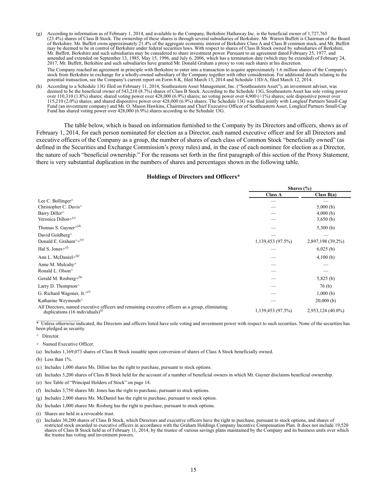- (g) According to information as of February 1, 2014, and available to the Company, Berkshire Hathaway Inc. is the beneficial owner of 1,727,765 (23.4%) shares of Class B Stock. The ownership of these shares is through several subsidiaries of Berkshire. Mr. Warren Buffett is Chairman of the Board of Berkshire. Mr. Buffett owns approximately 21.4% of the aggregate economic interest of Berkshire Class A and Class B common stock, and Mr. Buffett may be deemed to be in control of Berkshire under federal securities laws. With respect to shares of Class B Stock owned by subsidiaries of Berkshire, Mr. Buffett, Berkshire and such subsidiaries may be considered to share investment power. Pursuant to an agreement dated February 25, 1977, and amended and extended on September 13, 1985, May 15, 1996, and July 6, 2006, which has a termination date (which may be extended) of February 24, 2017, Mr. Buffett, Berkshire and such subsidiaries have granted Mr. Donald Graham a proxy to vote such shares at his discretion. The Company reached an agreement in principle with Berkshire to enter into a transaction to acquire approximately 1.6 million shares of the Company's stock from Berkshire in exchange for a wholly-owned subsidiary of the Company together with other consideration. For additional details relating to the potential transaction, see the Company's current report on Form 8-K, filed March 13, 2014 and Schedule 13D/A, filed March 12, 2014.
- (h) According to a Schedule 13G filed on February 11, 2014, Southeastern Asset Management, Inc. ("Southeastern Asset"), an investment adviser, was deemed to be the beneficial owner of 543,210 (8.7%) shares of Class B Stock. According to the Schedule 13G, Southeastern Asset has sole voting power over 110,310 (1.8%) shares; shared voting power over 428,000 (6.9%) shares; no voting power over 4,900 (<1%) shares; sole dispositive power over 115,210 (2.0%) shares; and shared dispositive power over 428,000 (6.9%) shares. The Schedule 13G was filed jointly with Longleaf Partners Small-Cap Fund (an investment company) and Mr. O. Mason Hawkins, Chairman and Chief Executive Officer of Southeastern Asset, Longleaf Partners Small-Cap Fund has shared voting power over 428,000 (6.9%) shares according to the Schedule 13G.

The table below, which is based on information furnished to the Company by its Directors and officers, shows as of February 1, 2014, for each person nominated for election as a Director, each named executive officer and for all Directors and executive officers of the Company as a group, the number of shares of each class of Common Stock "beneficially owned" (as defined in the Securities and Exchange Commission's proxy rules) and, in the case of each nominee for election as a Director, the nature of such "beneficial ownership." For the reasons set forth in the first paragraph of this section of the Proxy Statement, there is very substantial duplication in the numbers of shares and percentages shown in the following table.

### **Holdings of Directors and Officers\***

|                                                                                                                                                   | Shares $(\% )$    |                   |  |
|---------------------------------------------------------------------------------------------------------------------------------------------------|-------------------|-------------------|--|
|                                                                                                                                                   | <b>Class A</b>    | Class $B(a)$      |  |
| Lee C. Bollinger <sup><math>\wedge</math></sup>                                                                                                   |                   |                   |  |
| Christopher C. Davis <sup>^</sup>                                                                                                                 |                   | 5,000(b)          |  |
| Barry Diller <sup>^</sup>                                                                                                                         |                   | 4,000(b)          |  |
| Veronica Dillon+ $(c)$                                                                                                                            |                   | 3,650(b)          |  |
| Thomas S. Gayner $\wedge$ <sup>(d)</sup>                                                                                                          |                   | 5,300(b)          |  |
| David Goldberg <sup>^</sup>                                                                                                                       |                   |                   |  |
| Donald E. Graham <sup><math>\wedge +</math>(e)</sup>                                                                                              | 1,139,453 (97.5%) | 2,897,198 (39.2%) |  |
| Hal S. Jones+ $(f)$                                                                                                                               |                   | $6,025$ (b)       |  |
| Ann L. McDaniel+ $(g)$                                                                                                                            |                   | 4,100(b)          |  |
| Anne M. Mulcahy <sup><math>\land</math></sup>                                                                                                     |                   |                   |  |
| Ronald L. Olson^                                                                                                                                  |                   |                   |  |
| Gerald M. Rosberg+ $(h)$                                                                                                                          |                   | 5,825(b)          |  |
| Larry D. Thompson $\wedge$                                                                                                                        |                   | 76(b)             |  |
| G. Richard Wagoner, Jr. $\wedge^{(1)}$                                                                                                            |                   | 1,000(b)          |  |
| Katharine Weymouth^                                                                                                                               |                   | $20,000$ (b)      |  |
| All Directors, named executive officers and remaining executive officers as a group, eliminating<br>duplications $(16 \text{ individuals})^{(j)}$ | 1,139,453 (97.5%) | 2,953,124 (40.0%) |  |

\* Unless otherwise indicated, the Directors and officers listed have sole voting and investment power with respect to such securities. None of the securities has been pledged as security.

- ^ Director.
- + Named Executive Officer.
- (a) Includes 1,169,073 shares of Class B Stock issuable upon conversion of shares of Class A Stock beneficially owned.
- (b) Less than 1%.
- (c) Includes 1,000 shares Ms. Dillon has the right to purchase, pursuant to stock options.
- (d) Includes 5,200 shares of Class B Stock held for the account of a number of beneficial owners in which Mr. Gayner disclaims beneficial ownership.
- (e) See Table of "Principal Holders of Stock" on page 14.
- (f) Includes 3,750 shares Mr. Jones has the right to purchase, pursuant to stock options.
- (g) Includes 2,000 shares Ms. McDaniel has the right to purchase, pursuant to stock option.
- (h) Includes 1,000 shares Mr. Rosberg has the right to purchase, pursuant to stock options.
- (i) Shares are held in a revocable trust.
- (j) Includes 30,200 shares of Class B Stock, which Directors and executive officers have the right to purchase, pursuant to stock options, and shares of restricted stock awarded to executive officers in accordance with the Graham Holdings Company Incentive Compensation Plan. It does not include 19,520 shares of Class B Stock held as of February 11, 2014, by the trustee of various savings plans maintained by the Company and its business units over which the trustee has voting and investment powers.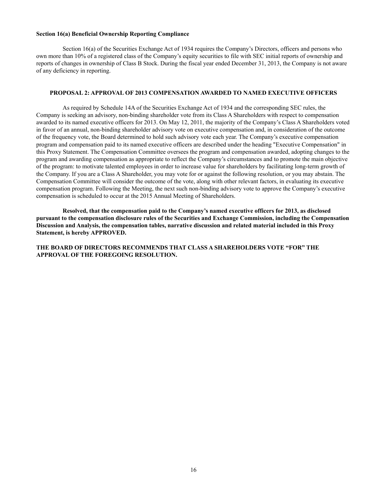### **Section 16(a) Beneficial Ownership Reporting Compliance**

Section 16(a) of the Securities Exchange Act of 1934 requires the Company's Directors, officers and persons who own more than 10% of a registered class of the Company's equity securities to file with SEC initial reports of ownership and reports of changes in ownership of Class B Stock. During the fiscal year ended December 31, 2013, the Company is not aware of any deficiency in reporting.

### **PROPOSAL 2: APPROVAL OF 2013 COMPENSATION AWARDED TO NAMED EXECUTIVE OFFICERS**

As required by Schedule 14A of the Securities Exchange Act of 1934 and the corresponding SEC rules, the Company is seeking an advisory, non-binding shareholder vote from its Class A Shareholders with respect to compensation awarded to its named executive officers for 2013. On May 12, 2011, the majority of the Company's Class A Shareholders voted in favor of an annual, non-binding shareholder advisory vote on executive compensation and, in consideration of the outcome of the frequency vote, the Board determined to hold such advisory vote each year. The Company's executive compensation program and compensation paid to its named executive officers are described under the heading "Executive Compensation" in this Proxy Statement. The Compensation Committee oversees the program and compensation awarded, adopting changes to the program and awarding compensation as appropriate to reflect the Company's circumstances and to promote the main objective of the program: to motivate talented employees in order to increase value for shareholders by facilitating long-term growth of the Company. If you are a Class A Shareholder, you may vote for or against the following resolution, or you may abstain. The Compensation Committee will consider the outcome of the vote, along with other relevant factors, in evaluating its executive compensation program. Following the Meeting, the next such non-binding advisory vote to approve the Company's executive compensation is scheduled to occur at the 2015 Annual Meeting of Shareholders.

**Resolved, that the compensation paid to the Company's named executive officers for 2013, as disclosed pursuant to the compensation disclosure rules of the Securities and Exchange Commission, including the Compensation Discussion and Analysis, the compensation tables, narrative discussion and related material included in this Proxy Statement, is hereby APPROVED.**

**THE BOARD OF DIRECTORS RECOMMENDS THAT CLASS A SHAREHOLDERS VOTE "FOR" THE APPROVAL OF THE FOREGOING RESOLUTION.**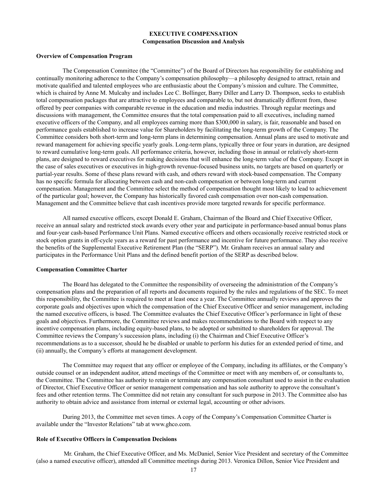### **EXECUTIVE COMPENSATION Compensation Discussion and Analysis**

### **Overview of Compensation Program**

The Compensation Committee (the "Committee") of the Board of Directors has responsibility for establishing and continually monitoring adherence to the Company's compensation philosophy—a philosophy designed to attract, retain and motivate qualified and talented employees who are enthusiastic about the Company's mission and culture. The Committee, which is chaired by Anne M. Mulcahy and includes Lee C. Bollinger, Barry Diller and Larry D. Thompson, seeks to establish total compensation packages that are attractive to employees and comparable to, but not dramatically different from, those offered by peer companies with comparable revenue in the education and media industries. Through regular meetings and discussions with management, the Committee ensures that the total compensation paid to all executives, including named executive officers of the Company, and all employees earning more than \$300,000 in salary, is fair, reasonable and based on performance goals established to increase value for Shareholders by facilitating the long-term growth of the Company. The Committee considers both short-term and long-term plans in determining compensation. Annual plans are used to motivate and reward management for achieving specific yearly goals. Long-term plans, typically three or four years in duration, are designed to reward cumulative long-term goals. All performance criteria, however, including those in annual or relatively short-term plans, are designed to reward executives for making decisions that will enhance the long-term value of the Company. Except in the case of sales executives or executives in high-growth revenue-focused business units, no targets are based on quarterly or partial-year results. Some of these plans reward with cash, and others reward with stock-based compensation. The Company has no specific formula for allocating between cash and non-cash compensation or between long-term and current compensation. Management and the Committee select the method of compensation thought most likely to lead to achievement of the particular goal; however, the Company has historically favored cash compensation over non-cash compensation. Management and the Committee believe that cash incentives provide more targeted rewards for specific performance.

All named executive officers, except Donald E. Graham, Chairman of the Board and Chief Executive Officer, receive an annual salary and restricted stock awards every other year and participate in performance-based annual bonus plans and four-year cash-based Performance Unit Plans. Named executive officers and others occasionally receive restricted stock or stock option grants in off-cycle years as a reward for past performance and incentive for future performance. They also receive the benefits of the Supplemental Executive Retirement Plan (the "SERP"). Mr. Graham receives an annual salary and participates in the Performance Unit Plans and the defined benefit portion of the SERP as described below.

### **Compensation Committee Charter**

The Board has delegated to the Committee the responsibility of overseeing the administration of the Company's compensation plans and the preparation of all reports and documents required by the rules and regulations of the SEC. To meet this responsibility, the Committee is required to meet at least once a year. The Committee annually reviews and approves the corporate goals and objectives upon which the compensation of the Chief Executive Officer and senior management, including the named executive officers, is based. The Committee evaluates the Chief Executive Officer's performance in light of these goals and objectives. Furthermore, the Committee reviews and makes recommendations to the Board with respect to any incentive compensation plans, including equity-based plans, to be adopted or submitted to shareholders for approval. The Committee reviews the Company's succession plans, including (i) the Chairman and Chief Executive Officer's recommendations as to a successor, should he be disabled or unable to perform his duties for an extended period of time, and (ii) annually, the Company's efforts at management development.

The Committee may request that any officer or employee of the Company, including its affiliates, or the Company's outside counsel or an independent auditor, attend meetings of the Committee or meet with any members of, or consultants to, the Committee. The Committee has authority to retain or terminate any compensation consultant used to assist in the evaluation of Director, Chief Executive Officer or senior management compensation and has sole authority to approve the consultant's fees and other retention terms. The Committee did not retain any consultant for such purpose in 2013. The Committee also has authority to obtain advice and assistance from internal or external legal, accounting or other advisors.

During 2013, the Committee met seven times. A copy of the Company's Compensation Committee Charter is available under the "Investor Relations" tab at www.ghco.com.

### **Role of Executive Officers in Compensation Decisions**

Mr. Graham, the Chief Executive Officer, and Ms. McDaniel, Senior Vice President and secretary of the Committee (also a named executive officer), attended all Committee meetings during 2013. Veronica Dillon, Senior Vice President and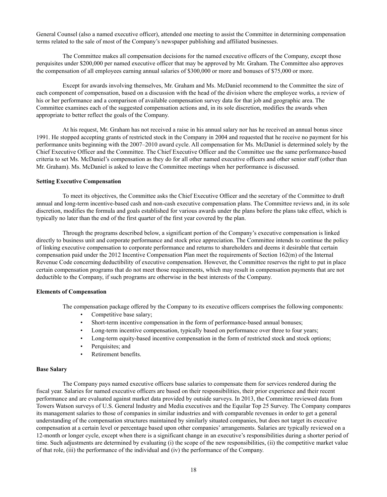General Counsel (also a named executive officer), attended one meeting to assist the Committee in determining compensation terms related to the sale of most of the Company's newspaper publishing and affiliated businesses.

The Committee makes all compensation decisions for the named executive officers of the Company, except those perquisites under \$200,000 per named executive officer that may be approved by Mr. Graham. The Committee also approves the compensation of all employees earning annual salaries of \$300,000 or more and bonuses of \$75,000 or more.

Except for awards involving themselves, Mr. Graham and Ms. McDaniel recommend to the Committee the size of each component of compensation, based on a discussion with the head of the division where the employee works, a review of his or her performance and a comparison of available compensation survey data for that job and geographic area. The Committee examines each of the suggested compensation actions and, in its sole discretion, modifies the awards when appropriate to better reflect the goals of the Company.

At his request, Mr. Graham has not received a raise in his annual salary nor has he received an annual bonus since 1991. He stopped accepting grants of restricted stock in the Company in 2004 and requested that he receive no payment for his performance units beginning with the 2007–2010 award cycle. All compensation for Ms. McDaniel is determined solely by the Chief Executive Officer and the Committee. The Chief Executive Officer and the Committee use the same performance-based criteria to set Ms. McDaniel's compensation as they do for all other named executive officers and other senior staff (other than Mr. Graham). Ms. McDaniel is asked to leave the Committee meetings when her performance is discussed.

### **Setting Executive Compensation**

To meet its objectives, the Committee asks the Chief Executive Officer and the secretary of the Committee to draft annual and long-term incentive-based cash and non-cash executive compensation plans. The Committee reviews and, in its sole discretion, modifies the formula and goals established for various awards under the plans before the plans take effect, which is typically no later than the end of the first quarter of the first year covered by the plan.

Through the programs described below, a significant portion of the Company's executive compensation is linked directly to business unit and corporate performance and stock price appreciation. The Committee intends to continue the policy of linking executive compensation to corporate performance and returns to shareholders and deems it desirable that certain compensation paid under the 2012 Incentive Compensation Plan meet the requirements of Section 162(m) of the Internal Revenue Code concerning deductibility of executive compensation. However, the Committee reserves the right to put in place certain compensation programs that do not meet those requirements, which may result in compensation payments that are not deductible to the Company, if such programs are otherwise in the best interests of the Company.

### **Elements of Compensation**

The compensation package offered by the Company to its executive officers comprises the following components:

- Competitive base salary;
- Short-term incentive compensation in the form of performance-based annual bonuses;
- Long-term incentive compensation, typically based on performance over three to four years;
- Long-term equity-based incentive compensation in the form of restricted stock and stock options;
- Perquisites; and
- Retirement benefits.

### **Base Salary**

The Company pays named executive officers base salaries to compensate them for services rendered during the fiscal year. Salaries for named executive officers are based on their responsibilities, their prior experience and their recent performance and are evaluated against market data provided by outside surveys. In 2013, the Committee reviewed data from Towers Watson surveys of U.S. General Industry and Media executives and the Equilar Top 25 Survey. The Company compares its management salaries to those of companies in similar industries and with comparable revenues in order to get a general understanding of the compensation structures maintained by similarly situated companies, but does not target its executive compensation at a certain level or percentage based upon other companies' arrangements. Salaries are typically reviewed on a 12-month or longer cycle, except when there is a significant change in an executive's responsibilities during a shorter period of time. Such adjustments are determined by evaluating (i) the scope of the new responsibilities, (ii) the competitive market value of that role, (iii) the performance of the individual and (iv) the performance of the Company.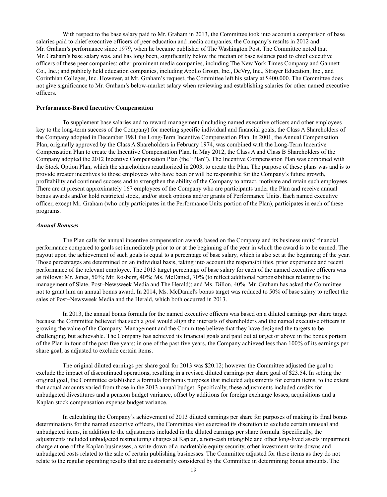With respect to the base salary paid to Mr. Graham in 2013, the Committee took into account a comparison of base salaries paid to chief executive officers of peer education and media companies, the Company's results in 2012 and Mr. Graham's performance since 1979, when he became publisher of The Washington Post. The Committee noted that Mr. Graham's base salary was, and has long been, significantly below the median of base salaries paid to chief executive officers of these peer companies: other prominent media companies, including The New York Times Company and Gannett Co., Inc.; and publicly held education companies, including Apollo Group, Inc., DeVry, Inc., Strayer Education, Inc., and Corinthian Colleges, Inc. However, at Mr. Graham's request, the Committee left his salary at \$400,000. The Committee does not give significance to Mr. Graham's below-market salary when reviewing and establishing salaries for other named executive officers.

### **Performance-Based Incentive Compensation**

To supplement base salaries and to reward management (including named executive officers and other employees key to the long-term success of the Company) for meeting specific individual and financial goals, the Class A Shareholders of the Company adopted in December 1981 the Long-Term Incentive Compensation Plan. In 2001, the Annual Compensation Plan, originally approved by the Class A Shareholders in February 1974, was combined with the Long-Term Incentive Compensation Plan to create the Incentive Compensation Plan. In May 2012, the Class A and Class B Shareholders of the Company adopted the 2012 Incentive Compensation Plan (the "Plan"). The Incentive Compensation Plan was combined with the Stock Option Plan, which the shareholders reauthorized in 2003, to create the Plan. The purpose of these plans was and is to provide greater incentives to those employees who have been or will be responsible for the Company's future growth, profitability and continued success and to strengthen the ability of the Company to attract, motivate and retain such employees. There are at present approximately 167 employees of the Company who are participants under the Plan and receive annual bonus awards and/or hold restricted stock, and/or stock options and/or grants of Performance Units. Each named executive officer, except Mr. Graham (who only participates in the Performance Units portion of the Plan), participates in each of these programs.

### *Annual Bonuses*

The Plan calls for annual incentive compensation awards based on the Company and its business units' financial performance compared to goals set immediately prior to or at the beginning of the year in which the award is to be earned. The payout upon the achievement of such goals is equal to a percentage of base salary, which is also set at the beginning of the year. Those percentages are determined on an individual basis, taking into account the responsibilities, prior experience and recent performance of the relevant employee. The 2013 target percentage of base salary for each of the named executive officers was as follows: Mr. Jones, 50%; Mr. Rosberg, 40%; Ms. McDaniel, 70% (to reflect additional responsibilities relating to the management of Slate, Post–Newsweek Media and The Herald); and Ms. Dillon, 40%. Mr. Graham has asked the Committee not to grant him an annual bonus award. In 2014, Ms. McDaniel's bonus target was reduced to 50% of base salary to reflect the sales of Post–Newsweek Media and the Herald, which both occurred in 2013.

In 2013, the annual bonus formula for the named executive officers was based on a diluted earnings per share target because the Committee believed that such a goal would align the interests of shareholders and the named executive officers in growing the value of the Company. Management and the Committee believe that they have designed the targets to be challenging, but achievable. The Company has achieved its financial goals and paid out at target or above in the bonus portion of the Plan in four of the past five years; in one of the past five years, the Company achieved less than 100% of its earnings per share goal, as adjusted to exclude certain items.

The original diluted earnings per share goal for 2013 was \$20.12; however the Committee adjusted the goal to exclude the impact of discontinued operations, resulting in a revised diluted earnings per share goal of \$23.54. In setting the original goal, the Committee established a formula for bonus purposes that included adjustments for certain items, to the extent that actual amounts varied from those in the 2013 annual budget. Specifically, these adjustments included credits for unbudgeted divestitures and a pension budget variance, offset by additions for foreign exchange losses, acquisitions and a Kaplan stock compensation expense budget variance.

In calculating the Company's achievement of 2013 diluted earnings per share for purposes of making its final bonus determinations for the named executive officers, the Committee also exercised its discretion to exclude certain unusual and unbudgeted items, in addition to the adjustments included in the diluted earnings per share formula. Specifically, the adjustments included unbudgeted restructuring charges at Kaplan, a non-cash intangible and other long-lived assets impairment charge at one of the Kaplan businesses, a write-down of a marketable equity security, other investment write-downs and unbudgeted costs related to the sale of certain publishing businesses. The Committee adjusted for these items as they do not relate to the regular operating results that are customarily considered by the Committee in determining bonus amounts. The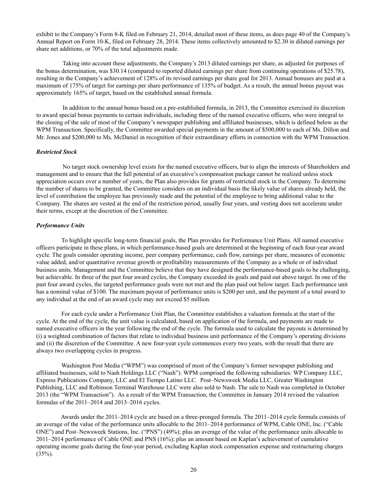exhibit to the Company's Form 8-K filed on February 21, 2014, detailed most of these items, as does page 40 of the Company's Annual Report on Form 10-K, filed on February 28, 2014. These items collectively amounted to \$2.30 in diluted earnings per share net additions, or 70% of the total adjustments made.

Taking into account these adjustments, the Company's 2013 diluted earnings per share, as adjusted for purposes of the bonus determination, was \$30.14 (compared to reported diluted earnings per share from continuing operations of \$25.78), resulting in the Company's achievement of 128% of its revised earnings per share goal for 2013. Annual bonuses are paid at a maximum of 175% of target for earnings per share performance of 135% of budget. As a result, the annual bonus payout was approximately 165% of target, based on the established annual formula.

In addition to the annual bonus based on a pre-established formula, in 2013, the Committee exercised its discretion to award special bonus payments to certain individuals, including three of the named executive officers, who were integral to the closing of the sale of most of the Company's newspaper publishing and affiliated businesses, which is defined below as the WPM Transaction. Specifically, the Committee awarded special payments in the amount of \$500,000 to each of Ms. Dillon and Mr. Jones and \$200,000 to Ms. McDaniel in recognition of their extraordinary efforts in connection with the WPM Transaction.

### *Restricted Stock*

No target stock ownership level exists for the named executive officers, but to align the interests of Shareholders and management and to ensure that the full potential of an executive's compensation package cannot be realized unless stock appreciation occurs over a number of years, the Plan also provides for grants of restricted stock in the Company. To determine the number of shares to be granted, the Committee considers on an individual basis the likely value of shares already held, the level of contribution the employee has previously made and the potential of the employee to bring additional value to the Company. The shares are vested at the end of the restriction period, usually four years, and vesting does not accelerate under their terms, except at the discretion of the Committee.

### *Performance Units*

To highlight specific long-term financial goals, the Plan provides for Performance Unit Plans. All named executive officers participate in these plans, in which performance-based goals are determined at the beginning of each four-year award cycle. The goals consider operating income, peer company performance, cash flow, earnings per share, measures of economic value added, and/or quantitative revenue growth or profitability measurements of the Company as a whole or of individual business units. Management and the Committee believe that they have designed the performance-based goals to be challenging, but achievable. In three of the past four award cycles, the Company exceeded its goals and paid out above target. In one of the past four award cycles, the targeted performance goals were not met and the plan paid out below target. Each performance unit has a nominal value of \$100. The maximum payout of performance units is \$200 per unit, and the payment of a total award to any individual at the end of an award cycle may not exceed \$5 million.

For each cycle under a Performance Unit Plan, the Committee establishes a valuation formula at the start of the cycle. At the end of the cycle, the unit value is calculated, based on application of the formula, and payments are made to named executive officers in the year following the end of the cycle. The formula used to calculate the payouts is determined by (i) a weighted combination of factors that relate to individual business unit performance of the Company's operating divisions and (ii) the discretion of the Committee. A new four-year cycle commences every two years, with the result that there are always two overlapping cycles in progress.

Washington Post Media ("WPM") was comprised of most of the Company's former newspaper publishing and affiliated businesses, sold to Nash Holdings LLC ("Nash"). WPM comprised the following subsidiaries: WP Company LLC, Express Publications Company, LLC and El Tiempo Latino LLC. Post–Newsweek Media LLC, Greater Washington Publishing, LLC and Robinson Terminal Warehouse LLC were also sold to Nash. The sale to Nash was completed in October 2013 (the "WPM Transaction"). As a result of the WPM Transaction, the Committee in January 2014 revised the valuation formulas of the 2011–2014 and 2013–2016 cycles.

Awards under the 2011–2014 cycle are based on a three-pronged formula. The 2011–2014 cycle formula consists of an average of the value of the performance units allocable to the 2011–2014 performance of WPM, Cable ONE, Inc. ("Cable ONE") and Post–Newsweek Stations, Inc. ("PNS") (49%); plus an average of the value of the performance units allocable to 2011–2014 performance of Cable ONE and PNS (16%); plus an amount based on Kaplan's achievement of cumulative operating income goals during the four-year period, excluding Kaplan stock compensation expense and restructuring charges  $(35\%)$ .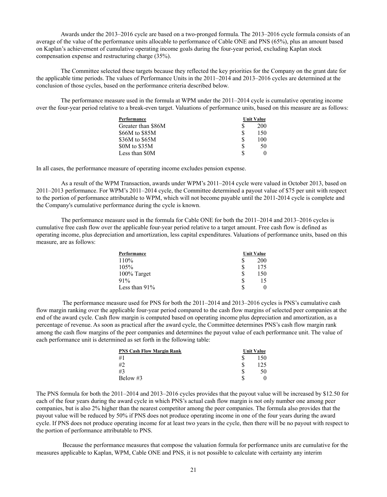Awards under the 2013–2016 cycle are based on a two-pronged formula. The 2013–2016 cycle formula consists of an average of the value of the performance units allocable to performance of Cable ONE and PNS (65%), plus an amount based on Kaplan's achievement of cumulative operating income goals during the four-year period, excluding Kaplan stock compensation expense and restructuring charge (35%).

The Committee selected these targets because they reflected the key priorities for the Company on the grant date for the applicable time periods. The values of Performance Units in the 2011–2014 and 2013–2016 cycles are determined at the conclusion of those cycles, based on the performance criteria described below.

The performance measure used in the formula at WPM under the 2011–2014 cycle is cumulative operating income over the four-year period relative to a break-even target. Valuations of performance units, based on this measure are as follows:

| Performance        | <b>Unit Value</b> |     |  |  |
|--------------------|-------------------|-----|--|--|
| Greater than \$86M |                   | 200 |  |  |
| \$66M to \$85M     |                   | 150 |  |  |
| \$36M to \$65M     | S                 | 100 |  |  |
| \$0M to \$35M      | \$.               | 50  |  |  |
| Less than \$0M     | \$.               |     |  |  |

In all cases, the performance measure of operating income excludes pension expense.

As a result of the WPM Transaction, awards under WPM's 2011–2014 cycle were valued in October 2013, based on 2011–2013 performance. For WPM's 2011–2014 cycle, the Committee determined a payout value of \$75 per unit with respect to the portion of performance attributable to WPM, which will not become payable until the 2011-2014 cycle is complete and the Company's cumulative performance during the cycle is known.

The performance measure used in the formula for Cable ONE for both the 2011–2014 and 2013–2016 cycles is cumulative free cash flow over the applicable four-year period relative to a target amount. Free cash flow is defined as operating income, plus depreciation and amortization, less capital expenditures. Valuations of performance units, based on this measure, are as follows:

| Performance   | Unit Value |     |  |  |
|---------------|------------|-----|--|--|
| 110%          |            | 200 |  |  |
| 105%          |            | 175 |  |  |
| 100% Target   |            | 150 |  |  |
| 91%           | S          | 15  |  |  |
| Less than 91% | S          | 0   |  |  |

The performance measure used for PNS for both the 2011–2014 and 2013–2016 cycles is PNS's cumulative cash flow margin ranking over the applicable four-year period compared to the cash flow margins of selected peer companies at the end of the award cycle. Cash flow margin is computed based on operating income plus depreciation and amortization, as a percentage of revenue. As soon as practical after the award cycle, the Committee determines PNS's cash flow margin rank among the cash flow margins of the peer companies and determines the payout value of each performance unit. The value of each performance unit is determined as set forth in the following table:

| <b>PNS Cash Flow Margin Rank</b> | <b>Unit Value</b> |     |  |  |
|----------------------------------|-------------------|-----|--|--|
| #1                               |                   | 150 |  |  |
|                                  |                   | 25  |  |  |
| #3                               |                   | 50  |  |  |
| Below $#3$                       |                   |     |  |  |

The PNS formula for both the 2011–2014 and 2013–2016 cycles provides that the payout value will be increased by \$12.50 for each of the four years during the award cycle in which PNS's actual cash flow margin is not only number one among peer companies, but is also 2% higher than the nearest competitor among the peer companies. The formula also provides that the payout value will be reduced by 50% if PNS does not produce operating income in one of the four years during the award cycle. If PNS does not produce operating income for at least two years in the cycle, then there will be no payout with respect to the portion of performance attributable to PNS.

Because the performance measures that compose the valuation formula for performance units are cumulative for the measures applicable to Kaplan, WPM, Cable ONE and PNS, it is not possible to calculate with certainty any interim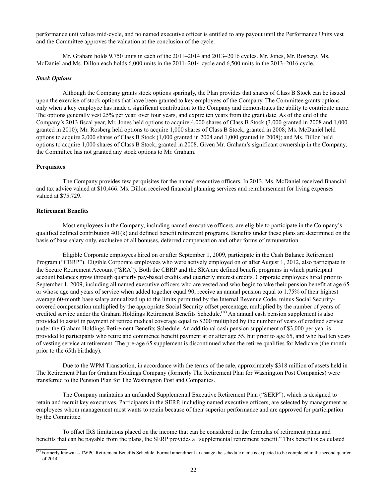performance unit values mid-cycle, and no named executive officer is entitled to any payout until the Performance Units vest and the Committee approves the valuation at the conclusion of the cycle.

Mr. Graham holds 9,750 units in each of the 2011–2014 and 2013–2016 cycles. Mr. Jones, Mr. Rosberg, Ms. McDaniel and Ms. Dillon each holds 6,000 units in the 2011–2014 cycle and 6,500 units in the 2013–2016 cycle.

### *Stock Options*

Although the Company grants stock options sparingly, the Plan provides that shares of Class B Stock can be issued upon the exercise of stock options that have been granted to key employees of the Company. The Committee grants options only when a key employee has made a significant contribution to the Company and demonstrates the ability to contribute more. The options generally vest 25% per year, over four years, and expire ten years from the grant date. As of the end of the Company's 2013 fiscal year, Mr. Jones held options to acquire 4,000 shares of Class B Stock (3,000 granted in 2008 and 1,000 granted in 2010); Mr. Rosberg held options to acquire 1,000 shares of Class B Stock, granted in 2008; Ms. McDaniel held options to acquire 2,000 shares of Class B Stock (1,000 granted in 2004 and 1,000 granted in 2008); and Ms. Dillon held options to acquire 1,000 shares of Class B Stock, granted in 2008. Given Mr. Graham's significant ownership in the Company, the Committee has not granted any stock options to Mr. Graham.

### **Perquisites**

The Company provides few perquisites for the named executive officers. In 2013, Ms. McDaniel received financial and tax advice valued at \$10,466. Ms. Dillon received financial planning services and reimbursement for living expenses valued at \$75,729.

### **Retirement Benefits**

Most employees in the Company, including named executive officers, are eligible to participate in the Company's qualified defined contribution 401(k) and defined benefit retirement programs. Benefits under these plans are determined on the basis of base salary only, exclusive of all bonuses, deferred compensation and other forms of remuneration.

Eligible Corporate employees hired on or after September 1, 2009, participate in the Cash Balance Retirement Program ("CBRP"). Eligible Corporate employees who were actively employed on or after August 1, 2012, also participate in the Secure Retirement Account ("SRA"). Both the CBRP and the SRA are defined benefit programs in which participant account balances grow through quarterly pay-based credits and quarterly interest credits. Corporate employees hired prior to September 1, 2009, including all named executive officers who are vested and who begin to take their pension benefit at age 65 or whose age and years of service when added together equal 90, receive an annual pension equal to 1.75% of their highest average 60-month base salary annualized up to the limits permitted by the Internal Revenue Code, minus Social Securitycovered compensation multiplied by the appropriate Social Security offset percentage, multiplied by the number of years of credited service under the Graham Holdings Retirement Benefits Schedule.<sup>(A)</sup> An annual cash pension supplement is also provided to assist in payment of retiree medical coverage equal to \$200 multiplied by the number of years of credited service under the Graham Holdings Retirement Benefits Schedule. An additional cash pension supplement of \$3,000 per year is provided to participants who retire and commence benefit payment at or after age 55, but prior to age 65, and who had ten years of vesting service at retirement. The pre-age 65 supplement is discontinued when the retiree qualifies for Medicare (the month prior to the 65th birthday).

Due to the WPM Transaction, in accordance with the terms of the sale, approximately \$318 million of assets held in The Retirement Plan for Graham Holdings Company (formerly The Retirement Plan for Washington Post Companies) were transferred to the Pension Plan for The Washington Post and Companies.

The Company maintains an unfunded Supplemental Executive Retirement Plan ("SERP"), which is designed to retain and recruit key executives. Participants in the SERP, including named executive officers, are selected by management as employees whom management most wants to retain because of their superior performance and are approved for participation by the Committee.

To offset IRS limitations placed on the income that can be considered in the formulas of retirement plans and benefits that can be payable from the plans, the SERP provides a "supplemental retirement benefit." This benefit is calculated

 $(A)$  Formerly known as TWPC Retirement Benefits Schedule. Formal amendment to change the schedule name is expected to be completed in the second quarter of 2014.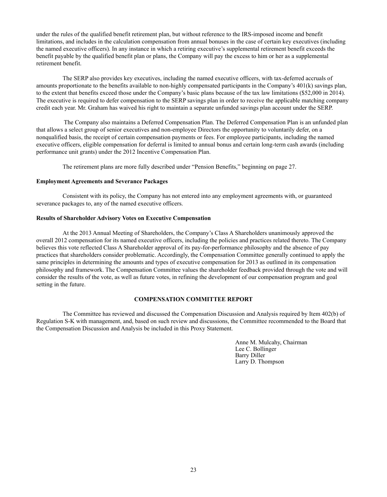under the rules of the qualified benefit retirement plan, but without reference to the IRS-imposed income and benefit limitations, and includes in the calculation compensation from annual bonuses in the case of certain key executives (including the named executive officers). In any instance in which a retiring executive's supplemental retirement benefit exceeds the benefit payable by the qualified benefit plan or plans, the Company will pay the excess to him or her as a supplemental retirement benefit.

The SERP also provides key executives, including the named executive officers, with tax-deferred accruals of amounts proportionate to the benefits available to non-highly compensated participants in the Company's 401(k) savings plan, to the extent that benefits exceed those under the Company's basic plans because of the tax law limitations (\$52,000 in 2014). The executive is required to defer compensation to the SERP savings plan in order to receive the applicable matching company credit each year. Mr. Graham has waived his right to maintain a separate unfunded savings plan account under the SERP.

The Company also maintains a Deferred Compensation Plan. The Deferred Compensation Plan is an unfunded plan that allows a select group of senior executives and non-employee Directors the opportunity to voluntarily defer, on a nonqualified basis, the receipt of certain compensation payments or fees. For employee participants, including the named executive officers, eligible compensation for deferral is limited to annual bonus and certain long-term cash awards (including performance unit grants) under the 2012 Incentive Compensation Plan.

The retirement plans are more fully described under "Pension Benefits," beginning on page 27.

### **Employment Agreements and Severance Packages**

Consistent with its policy, the Company has not entered into any employment agreements with, or guaranteed severance packages to, any of the named executive officers.

### **Results of Shareholder Advisory Votes on Executive Compensation**

At the 2013 Annual Meeting of Shareholders, the Company's Class A Shareholders unanimously approved the overall 2012 compensation for its named executive officers, including the policies and practices related thereto. The Company believes this vote reflected Class A Shareholder approval of its pay-for-performance philosophy and the absence of pay practices that shareholders consider problematic. Accordingly, the Compensation Committee generally continued to apply the same principles in determining the amounts and types of executive compensation for 2013 as outlined in its compensation philosophy and framework. The Compensation Committee values the shareholder feedback provided through the vote and will consider the results of the vote, as well as future votes, in refining the development of our compensation program and goal setting in the future.

# **COMPENSATION COMMITTEE REPORT**

The Committee has reviewed and discussed the Compensation Discussion and Analysis required by Item 402(b) of Regulation S-K with management, and, based on such review and discussions, the Committee recommended to the Board that the Compensation Discussion and Analysis be included in this Proxy Statement.

> Anne M. Mulcahy, Chairman Lee C. Bollinger Barry Diller Larry D. Thompson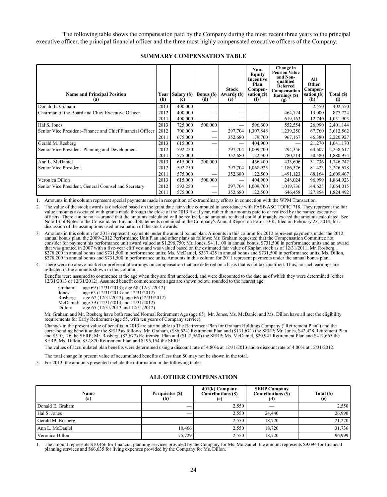The following table shows the compensation paid by the Company during the most recent three years to the principal executive officer, the principal financial officer and the three most highly compensated executive officers of the Company.

| <b>Name and Principal Position</b><br>(a)                 | (b)  | Year   Salary (\$)<br>(c) | <b>Bonus</b> (\$)<br>(d)      | <b>Stock</b><br>Awards (\$)<br>(e) | Non-<br>Equity<br>Incentive<br>Plan<br>Compen-<br>sation (\$)<br>(f) <sup>3</sup> | Change in<br><b>Pension Value</b><br>and Non-<br>qualified<br><b>Deferred</b><br>Compensation<br>Earnings (\$)<br>(g) | All<br>Other<br>Compen-<br>sation $_5$ (\$)<br>(h) $_5$ | Total (\$)<br>(i) |
|-----------------------------------------------------------|------|---------------------------|-------------------------------|------------------------------------|-----------------------------------------------------------------------------------|-----------------------------------------------------------------------------------------------------------------------|---------------------------------------------------------|-------------------|
| Donald E. Graham                                          | 2013 | 400,000                   |                               |                                    |                                                                                   |                                                                                                                       | 2,550                                                   | 402,550           |
| Chairman of the Board and Chief Executive Officer         | 2012 | 400,000                   |                               |                                    |                                                                                   | 464,724                                                                                                               | 13,000                                                  | 877,724           |
|                                                           | 2011 | 400,000                   | --                            |                                    |                                                                                   | 619,163                                                                                                               | 12,740                                                  | 1,031,903         |
| Hal S. Jones                                              | 2013 | 725,000                   | 500,000                       |                                    | 596,600                                                                           | 552,554                                                                                                               | 26,990                                                  | 2,401,144         |
| Senior Vice President–Finance and Chief Financial Officer | 2012 | 700,000                   | --                            | 297,704                            | 1,307,848                                                                         | 1,239,250                                                                                                             | 67,760                                                  | 3,612,562         |
|                                                           | 2011 | 675,000                   |                               | 352,680                            | 179,700                                                                           | 967,167                                                                                                               | 46,380                                                  | 2,220,927         |
| Gerald M. Rosberg                                         | 2013 | 615,000                   | —                             |                                    | 404,900                                                                           |                                                                                                                       | 21,270                                                  | 1,041,170         |
| Senior Vice President–Planning and Development            | 2012 | 592,250                   |                               | 297,704                            | 1,009,700                                                                         | 294,356                                                                                                               | 64,607                                                  | 2,258,617         |
|                                                           | 2011 | 575,000                   | $\overbrace{\phantom{12332}}$ | 352,680                            | 122,500                                                                           | 780,214                                                                                                               | 50,580                                                  | 1,880,974         |
| Ann L. McDaniel                                           | 2013 | 615,000                   | 200,000                       |                                    | 466,400                                                                           | 433,606                                                                                                               | 31,736                                                  | 1,746,742         |
| Senior Vice President                                     | 2012 | 592,250                   | --                            | 297,704                            | 1,068,925                                                                         | 1,186,376                                                                                                             | 81,423                                                  | 3,226,678         |
|                                                           | 2011 | 575,000                   | —                             | 352,680                            | 122,500                                                                           | 1,491,123                                                                                                             | 68,164                                                  | 2,609,467         |
| Veronica Dillon                                           | 2013 | 615,000                   | 500,000                       |                                    | 404,900                                                                           | 248,024                                                                                                               | 96,999                                                  | 1,864,923         |
| Senior Vice President, General Counsel and Secretary      | 2012 | 592,250                   | --                            | 297,704                            | 1,009,700                                                                         | 1,019,736                                                                                                             | 144,625                                                 | 3,064,015         |
|                                                           | 2011 | 575,000                   | —                             | 352,680                            | 122,500                                                                           | 646,458                                                                                                               | 127,854                                                 | 1,824,492         |

### **SUMMARY COMPENSATION TABLE**

1. Amounts in this column represent special payments made in recognition of extraordinary efforts in connection with the WPM Transaction.

2. The value of the stock awards is disclosed based on the grant date fair value computed in accordance with FASB ASC TOPIC 718. They represent the fair value amounts associated with grants made through the close of the 2013 fiscal year, rather than amounts paid to or realized by the named executive officers. There can be no assurance that the amounts calculated will be realized, and amounts realized could ultimately exceed the amounts calculated. See Note 13 of Notes to the Consolidated Financial Statements contained in the Company's Annual Report on Form 10-K, filed on February 28, 2014, for a discussion of the assumptions used in valuation of the stock awards.

3. Amounts in this column for 2013 represent payments under the annual bonus plan. Amounts in this column for 2012 represent payments under the 2012 annual bonus plan, the 2009–2012 Performance Unit Plan and other plans as follows: Mr. Graham requested that the Compensation Committee not consider for payment his performance unit award valued at \$1,296,750; Mr. Jones, \$411,100 in annual bonus, \$731,500 in performance units and an award that was granted in 2007 with a five-year cliff vest and was valued based on the estimated fair value of Kaplan stock as of 12/31/2011; Mr. Rosberg, \$278,200 in annual bonus and \$731,500 in performance units; Ms. McDaniel, \$337,425 in annual bonus and \$731,500 in performance units; Ms. Dillon, \$278,200 in annual bonus and \$731,500 in performance units. Amounts in this column for 2011 represent payments under the annual bonus plan.

4. There were no above-market or preferential earnings on compensation that are deferred on a basis that is not tax-qualified. Thus, no such earnings are reflected in the amounts shown in this column.

Benefits were assumed to commence at the age when they are first unreduced, and were discounted to the date as of which they were determined (either 12/31/2013 or 12/31/2012). Assumed benefit commencement ages are shown below, rounded to the nearest age:

| Graham:   | age 69 (12/31/2013); age 68 (12/31/2012) |
|-----------|------------------------------------------|
| Jones:    | age 63 (12/31/2013 and 12/31/2012)       |
| Rosberg:  | age 67 (12/31/2013); age 66 (12/31/2012) |
| McDaniel: | age 59 (12/31/2013 and 12/31/2012)       |
| Dillon:   | age 65 (12/31/2013 and 12/31/2012)       |
|           |                                          |

Mr. Graham and Mr. Rosberg have both reached Normal Retirement Age (age 65). Mr. Jones, Ms. McDaniel and Ms. Dillon have all met the eligibility requirements for Early Retirement (age 55, with ten years of Company service).

Changes in the present value of benefits in 2013 are attributable to The Retirement Plan for Graham Holdings Company ("Retirement Plan") and the corresponding benefit under the SERP as follows: Mr. Graham, (\$86,624) Retirement Plan and (\$131,671) the SERP; Mr. Jones, \$42,428 Retirement Plan and \$510,126 the SERP; Mr. Rosberg, (\$2,677) Retirement Plan and (\$112,560) the SERP; Ms. McDaniel, \$20,941 Retirement Plan and \$412,665 the SERP; Ms. Dillon, \$52,870 Retirement Plan and \$195,154 the SERP.

The values of accumulated plan benefits were determined using a discount rate of 4.80% at 12/31/2013 and a discount rate of 4.00% at 12/31/2012.

The total change in present value of accumulated benefits of less than \$0 may not be shown in the total.

5. For 2013, the amounts presented include the information in the following table:

### **ALL OTHER COMPENSATION**

| Name<br>(a)       | Perquisites (\$)<br>(b) | $401(k)$ Company<br><b>Contributions (\$)</b><br>(c) | <b>SERP Company</b><br>Contributions (\$)<br>(d) | Total (\$)<br>(e) |
|-------------------|-------------------------|------------------------------------------------------|--------------------------------------------------|-------------------|
| Donald E. Graham  | __                      | 2,550                                                |                                                  | 2,550             |
| Hal S. Jones      |                         | 2.550                                                | 24.440                                           | 26,990            |
| Gerald M. Rosberg |                         | 2.550                                                | 18.720                                           | 21,270            |
| Ann L. McDaniel   | 10.466                  | 2.550                                                | 18.720                                           | 31,736            |
| Veronica Dillon   | 75,729                  | 2,550                                                | 18,720                                           | 96,999            |

1. The amount represents \$10,466 for financial planning services provided by the Company for Ms. McDaniel; the amount represents \$9,094 for financial planning services and \$66,635 for living expenses provided by the Company for Ms. Dillon.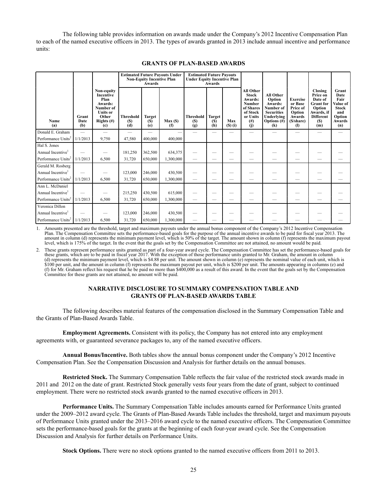The following table provides information on awards made under the Company's 2012 Incentive Compensation Plan to each of the named executive officers in 2013. The types of awards granted in 2013 include annual incentive and performance units:

|                                |                          |                                                                                                                    | <b>Estimated Future Payouts Under</b><br><b>Non-Equity Incentive Plan</b><br>Awards |                             |             |                                       | <b>Estimated Future Payouts</b><br><b>Under Equity Incentive Plan</b><br>Awards |                            |                                                                                                                     |                                                                                                                                       |                                                                                                                |                                                                                                                     |                                                                                            |
|--------------------------------|--------------------------|--------------------------------------------------------------------------------------------------------------------|-------------------------------------------------------------------------------------|-----------------------------|-------------|---------------------------------------|---------------------------------------------------------------------------------|----------------------------|---------------------------------------------------------------------------------------------------------------------|---------------------------------------------------------------------------------------------------------------------------------------|----------------------------------------------------------------------------------------------------------------|---------------------------------------------------------------------------------------------------------------------|--------------------------------------------------------------------------------------------|
| Name<br>(a)                    | Grant<br>Date<br>(b)     | Non-equity<br><b>Incentive</b><br>Plan<br>Awards:<br>Number of<br><b>Units or</b><br>Other<br>Rights $(\#)$<br>(c) | <b>Threshold</b><br>(S)<br>(d)                                                      | <b>Target</b><br>(S)<br>(e) | Max(<br>(f) | <b>Threshold</b><br><b>(S)</b><br>(g) | Target<br>(S)<br>(h)                                                            | Max<br>$($ S $)$ $($ i $)$ | <b>All Other</b><br><b>Stock</b><br>Awards:<br><b>Number</b><br>of Shares<br>of Stock<br>or Units<br>$\binom{H}{1}$ | <b>All Other</b><br>Option<br>Awards:<br>Number of<br><b>Securities</b><br>Underlying<br>Options $(\#)$<br>$\left( \mathbf{k}\right)$ | <b>Exercise</b><br>or Base<br>Price of<br>Option<br><b>Awards</b><br>(\$/share)<br>$\left( \mathbf{l} \right)$ | Closing<br>Price on<br>Date of<br><b>Grant</b> for<br>Option<br>Awards, if<br><b>Different</b><br><b>(S)</b><br>(m) | Grant<br>Date<br>Fair<br>Value of<br><b>Stock</b><br>and<br>Option<br><b>Awards</b><br>(n) |
| Donald E. Graham               | $\overline{\phantom{0}}$ |                                                                                                                    |                                                                                     |                             |             |                                       |                                                                                 |                            |                                                                                                                     |                                                                                                                                       |                                                                                                                |                                                                                                                     |                                                                                            |
| Performance Units <sup>2</sup> | 1/1/2013                 | 9,750                                                                                                              | 47,580                                                                              | 400,000                     | 400,000     |                                       |                                                                                 |                            |                                                                                                                     |                                                                                                                                       |                                                                                                                |                                                                                                                     |                                                                                            |
| Hal S. Jones                   |                          |                                                                                                                    |                                                                                     |                             |             |                                       |                                                                                 |                            |                                                                                                                     |                                                                                                                                       |                                                                                                                |                                                                                                                     |                                                                                            |
| Annual Incentive <sup>1</sup>  |                          |                                                                                                                    | 181,250                                                                             | 362,500                     | 634,375     |                                       |                                                                                 |                            |                                                                                                                     |                                                                                                                                       |                                                                                                                |                                                                                                                     |                                                                                            |
| Performance Units <sup>2</sup> | 1/1/2013                 | 6.500                                                                                                              | 31,720                                                                              | 650,000                     | 1,300,000   | $\overline{\phantom{0}}$              |                                                                                 |                            |                                                                                                                     |                                                                                                                                       |                                                                                                                |                                                                                                                     |                                                                                            |
| Gerald M. Rosberg              |                          |                                                                                                                    |                                                                                     |                             |             |                                       |                                                                                 |                            |                                                                                                                     |                                                                                                                                       |                                                                                                                |                                                                                                                     |                                                                                            |
| Annual Incentive <sup>1</sup>  |                          |                                                                                                                    | 123,000                                                                             | 246,000                     | 430,500     |                                       |                                                                                 |                            |                                                                                                                     |                                                                                                                                       |                                                                                                                |                                                                                                                     |                                                                                            |
| Performance Units <sup>2</sup> | 1/1/2013                 | 6,500                                                                                                              | 31,720                                                                              | 650,000                     | 1,300,000   | $\qquad \qquad -$                     |                                                                                 |                            |                                                                                                                     |                                                                                                                                       |                                                                                                                |                                                                                                                     |                                                                                            |
| Ann L. McDaniel                |                          |                                                                                                                    |                                                                                     |                             |             |                                       |                                                                                 |                            |                                                                                                                     |                                                                                                                                       |                                                                                                                |                                                                                                                     |                                                                                            |
| Annual Incentive <sup>1</sup>  |                          |                                                                                                                    | 215,250                                                                             | 430,500                     | 615,000     |                                       |                                                                                 |                            |                                                                                                                     |                                                                                                                                       |                                                                                                                |                                                                                                                     |                                                                                            |
| Performance Units <sup>2</sup> | 1/1/2013                 | 6,500                                                                                                              | 31,720                                                                              | 650,000                     | 1,300,000   | $\hspace{0.05cm}$                     | —                                                                               |                            |                                                                                                                     |                                                                                                                                       |                                                                                                                |                                                                                                                     |                                                                                            |
| Veronica Dillon                |                          |                                                                                                                    |                                                                                     |                             |             |                                       |                                                                                 |                            |                                                                                                                     |                                                                                                                                       |                                                                                                                |                                                                                                                     |                                                                                            |
| Annual Incentive <sup>1</sup>  |                          |                                                                                                                    | 123,000                                                                             | 246,000                     | 430,500     |                                       |                                                                                 |                            |                                                                                                                     |                                                                                                                                       |                                                                                                                |                                                                                                                     |                                                                                            |
| Performance Units <sup>2</sup> | 1/1/2013                 | 6,500                                                                                                              | 31,720                                                                              | 650,000                     | 1,300,000   |                                       |                                                                                 |                            |                                                                                                                     |                                                                                                                                       |                                                                                                                |                                                                                                                     |                                                                                            |

# **GRANTS OF PLAN-BASED AWARDS**

1. Amounts presented are the threshold, target and maximum payouts under the annual bonus component of the Company's 2012 Incentive Compensation Plan. The Compensation Committee sets the performance-based goals for the purpose of the annual incentive awards to be paid for fiscal year 2013. The amount in column (d) represents the minimum payment level, which is 50% of the target. The amount shown in column (f) represents the maximum payout level, which is 175% of the target. In the event that the goals set by the Compensation Committee are not attained, no amount would be paid.

2. These grants represent performance units granted as part of a four-year award cycle. The Compensation Committee has set the performance-based goals for these grants, which are to be paid in fiscal year 2017. With the exception of those performance units granted to Mr. Graham, the amount in column (d) represents the minimum payment level, which is \$4.88 per unit. The amount shown in column (e) represents the nominal value of each unit, which is \$100 per unit, and the amount in column (f) represents the maximum payout per unit, which is \$200 per unit. The amounts appearing in columns (e) and (f) for Mr. Graham reflect his request that he be paid no more than \$400,000 as a result of this award. In the event that the goals set by the Compensation Committee for these grants are not attained, no amount will be paid.

### **NARRATIVE DISCLOSURE TO SUMMARY COMPENSATION TABLE AND GRANTS OF PLAN-BASED AWARDS TABLE**

The following describes material features of the compensation disclosed in the Summary Compensation Table and the Grants of Plan-Based Awards Table.

**Employment Agreements.** Consistent with its policy, the Company has not entered into any employment agreements with, or guaranteed severance packages to, any of the named executive officers.

**Annual Bonus/Incentive.** Both tables show the annual bonus component under the Company's 2012 Incentive Compensation Plan. See the Compensation Discussion and Analysis for further details on the annual bonuses.

**Restricted Stock.** The Summary Compensation Table reflects the fair value of the restricted stock awards made in 2011 and 2012 on the date of grant. Restricted Stock generally vests four years from the date of grant, subject to continued employment. There were no restricted stock awards granted to the named executive officers in 2013.

**Performance Units.** The Summary Compensation Table includes amounts earned for Performance Units granted under the 2009–2012 award cycle. The Grants of Plan-Based Awards Table includes the threshold, target and maximum payouts of Performance Units granted under the 2013–2016 award cycle to the named executive officers. The Compensation Committee sets the performance-based goals for the grants at the beginning of each four-year award cycle. See the Compensation Discussion and Analysis for further details on Performance Units.

**Stock Options.** There were no stock options granted to the named executive officers from 2011 to 2013.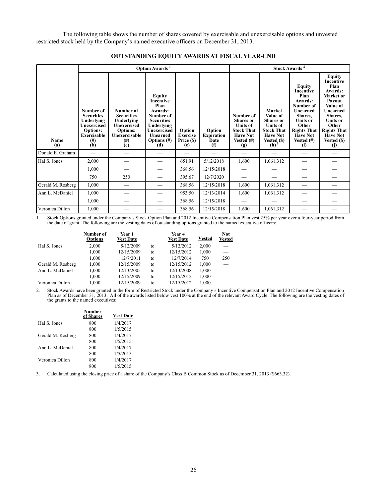The following table shows the number of shares covered by exercisable and unexercisable options and unvested restricted stock held by the Company's named executive officers on December 31, 2013.

|                   | Option Awards <sup>1</sup>                                                                                          |                                                                                                                    |                                                                                                                                                          |                                                |                                            |                                                                                                                  | Stock Awards <sup>2</sup>                                                                                                          |                                                                                                                                                                                       |                                                                                                                                                                                                           |  |  |
|-------------------|---------------------------------------------------------------------------------------------------------------------|--------------------------------------------------------------------------------------------------------------------|----------------------------------------------------------------------------------------------------------------------------------------------------------|------------------------------------------------|--------------------------------------------|------------------------------------------------------------------------------------------------------------------|------------------------------------------------------------------------------------------------------------------------------------|---------------------------------------------------------------------------------------------------------------------------------------------------------------------------------------|-----------------------------------------------------------------------------------------------------------------------------------------------------------------------------------------------------------|--|--|
| Name<br>(a)       | Number of<br><b>Securities</b><br>Underlying<br>Unexercised<br><b>Options:</b><br><b>Exercisable</b><br>(# )<br>(b) | Number of<br><b>Securities</b><br>Underlying<br>Unexercised<br><b>Options:</b><br>Unexercisable<br>$^{(#)}$<br>(c) | <b>Equity</b><br><b>Incentive</b><br>Plan<br>Awards:<br>Number of<br><b>Securities</b><br>Underlying<br>Unexercised<br>Unearned<br>Options $(\#)$<br>(d) | Option<br><b>Exercise</b><br>Price (\$)<br>(e) | Option<br><b>Expiration</b><br>Date<br>(f) | Number of<br><b>Shares</b> or<br><b>Units of</b><br><b>Stock That</b><br><b>Have Not</b><br>Vested $(\#)$<br>(g) | <b>Market</b><br>Value of<br><b>Shares</b> or<br><b>Units of</b><br><b>Stock That</b><br><b>Have Not</b><br>Vested (\$)<br>$(h)^3$ | <b>Equity</b><br><b>Incentive</b><br>Plan<br>Awards:<br>Number of<br>Unearned<br>Shares,<br><b>Units or</b><br>Other<br><b>Rights That</b><br><b>Have Not</b><br>Vested $(\#)$<br>(i) | <b>Equity</b><br><b>Incentive</b><br>Plan<br>Awards:<br>Market or<br>Payout<br>Value of<br>Unearned<br>Shares,<br><b>Units or</b><br>Other<br><b>Rights That</b><br><b>Have Not</b><br>Vested (\$)<br>(j) |  |  |
| Donald E. Graham  |                                                                                                                     |                                                                                                                    |                                                                                                                                                          |                                                |                                            |                                                                                                                  |                                                                                                                                    |                                                                                                                                                                                       |                                                                                                                                                                                                           |  |  |
| Hal S. Jones      | 2,000                                                                                                               |                                                                                                                    |                                                                                                                                                          | 651.91                                         | 5/12/2018                                  | 1,600                                                                                                            | 1,061,312                                                                                                                          |                                                                                                                                                                                       |                                                                                                                                                                                                           |  |  |
|                   | 1,000                                                                                                               |                                                                                                                    | --                                                                                                                                                       | 368.56                                         | 12/15/2018                                 |                                                                                                                  |                                                                                                                                    |                                                                                                                                                                                       |                                                                                                                                                                                                           |  |  |
|                   | 750                                                                                                                 | 250                                                                                                                |                                                                                                                                                          | 395.67                                         | 12/7/2020                                  |                                                                                                                  |                                                                                                                                    |                                                                                                                                                                                       |                                                                                                                                                                                                           |  |  |
| Gerald M. Rosberg | 1,000                                                                                                               |                                                                                                                    |                                                                                                                                                          | 368.56                                         | 12/15/2018                                 | 1,600                                                                                                            | 1,061,312                                                                                                                          |                                                                                                                                                                                       |                                                                                                                                                                                                           |  |  |
| Ann L. McDaniel   | 1,000                                                                                                               |                                                                                                                    |                                                                                                                                                          | 953.50                                         | 12/13/2014                                 | 1,600                                                                                                            | 1,061,312                                                                                                                          |                                                                                                                                                                                       |                                                                                                                                                                                                           |  |  |
|                   | 1,000                                                                                                               |                                                                                                                    |                                                                                                                                                          | 368.56                                         | 12/15/2018                                 |                                                                                                                  |                                                                                                                                    |                                                                                                                                                                                       |                                                                                                                                                                                                           |  |  |
| Veronica Dillon   | 1,000                                                                                                               |                                                                                                                    |                                                                                                                                                          | 368.56                                         | 12/15/2018                                 | 1,600                                                                                                            | 1,061,312                                                                                                                          |                                                                                                                                                                                       |                                                                                                                                                                                                           |  |  |

### **OUTSTANDING EQUITY AWARDS AT FISCAL YEAR-END**

1. Stock Options granted under the Company's Stock Option Plan and 2012 Incentive Compensation Plan vest 25% per year over a four-year period from the date of grant. The following are the vesting dates of outstanding options granted to the named executive officers:

|                   | Number of<br><b>Options</b> | Year 1<br><b>Vest Date</b> |    | <b>Year 4</b><br><b>Vest Date</b> | <b>Vested</b> | <b>Not</b><br><b>Vested</b> |
|-------------------|-----------------------------|----------------------------|----|-----------------------------------|---------------|-----------------------------|
| Hal S. Jones      | 2,000                       | 5/12/2009                  | to | 5/12/2012                         | 2,000         | $\overline{\phantom{0}}$    |
|                   | 1,000                       | 12/15/2009                 | to | 12/15/2012                        | 1,000         | $\overline{\phantom{0}}$    |
|                   | 1,000                       | 12/7/2011                  | to | 12/7/2014                         | 750           | 250                         |
| Gerald M. Rosberg | 1,000                       | 12/15/2009                 | to | 12/15/2012                        | 1,000         |                             |
| Ann L. McDaniel   | 1,000                       | 12/13/2005                 | to | 12/13/2008                        | 1,000         |                             |
|                   | 1,000                       | 12/15/2009                 | to | 12/15/2012                        | 1,000         |                             |
| Veronica Dillon   | 1.000                       | 12/15/2009                 | to | 12/15/2012                        | 1.000         |                             |

2. Stock Awards have been granted in the form of Restricted Stock under the Company's Incentive Compensation Plan and 2012 Incentive Compensation Plan as of December 31, 2013. All of the awards listed below vest 100% at the end of the relevant Award Cycle. The following are the vesting dates of the grants to the named executives:

|                   | <b>Number</b><br>of Shares | <b>Vest Date</b> |
|-------------------|----------------------------|------------------|
| Hal S. Jones      | 800                        | 1/4/2017         |
|                   | 800                        | 1/5/2015         |
| Gerald M. Rosberg | 800                        | 1/4/2017         |
|                   | 800                        | 1/5/2015         |
| Ann L. McDaniel   | 800                        | 1/4/2017         |
|                   | 800                        | 1/5/2015         |
| Veronica Dillon   | 800                        | 1/4/2017         |
|                   | 800                        | 1/5/2015         |

3. Calculated using the closing price of a share of the Company's Class B Common Stock as of December 31, 2013 (\$663.32).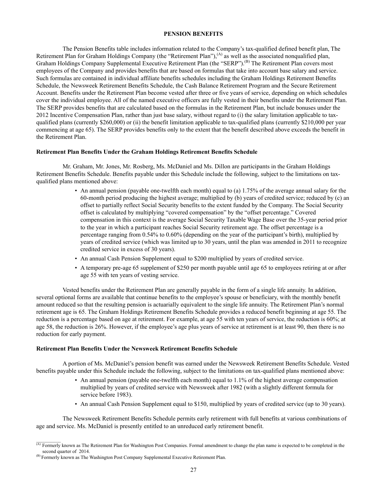### **PENSION BENEFITS**

The Pension Benefits table includes information related to the Company's tax-qualified defined benefit plan, The Retirement Plan for Graham Holdings Company (the "Retirement Plan"),  $^{(A)}$  as well as the associated nonqualified plan, Graham Holdings Company Supplemental Executive Retirement Plan (the "SERP").<sup>(B)</sup> The Retirement Plan covers most employees of the Company and provides benefits that are based on formulas that take into account base salary and service. Such formulas are contained in individual affiliate benefits schedules including the Graham Holdings Retirement Benefits Schedule, the Newsweek Retirement Benefits Schedule, the Cash Balance Retirement Program and the Secure Retirement Account. Benefits under the Retirement Plan become vested after three or five years of service, depending on which schedules cover the individual employee. All of the named executive officers are fully vested in their benefits under the Retirement Plan. The SERP provides benefits that are calculated based on the formulas in the Retirement Plan, but include bonuses under the 2012 Incentive Compensation Plan, rather than just base salary, without regard to (i) the salary limitation applicable to taxqualified plans (currently \$260,000) or (ii) the benefit limitation applicable to tax-qualified plans (currently \$210,000 per year commencing at age 65). The SERP provides benefits only to the extent that the benefit described above exceeds the benefit in the Retirement Plan.

### **Retirement Plan Benefits Under the Graham Holdings Retirement Benefits Schedule**

Mr. Graham, Mr. Jones, Mr. Rosberg, Ms. McDaniel and Ms. Dillon are participants in the Graham Holdings Retirement Benefits Schedule. Benefits payable under this Schedule include the following, subject to the limitations on taxqualified plans mentioned above:

- An annual pension (payable one-twelfth each month) equal to (a) 1.75% of the average annual salary for the 60-month period producing the highest average; multiplied by (b) years of credited service; reduced by (c) an offset to partially reflect Social Security benefits to the extent funded by the Company. The Social Security offset is calculated by multiplying "covered compensation" by the "offset percentage." Covered compensation in this context is the average Social Security Taxable Wage Base over the 35-year period prior to the year in which a participant reaches Social Security retirement age. The offset percentage is a percentage ranging from 0.54% to 0.60% (depending on the year of the participant's birth), multiplied by years of credited service (which was limited up to 30 years, until the plan was amended in 2011 to recognize credited service in excess of 30 years).
- An annual Cash Pension Supplement equal to \$200 multiplied by years of credited service.
- A temporary pre-age 65 supplement of \$250 per month payable until age 65 to employees retiring at or after age 55 with ten years of vesting service.

Vested benefits under the Retirement Plan are generally payable in the form of a single life annuity. In addition, several optional forms are available that continue benefits to the employee's spouse or beneficiary, with the monthly benefit amount reduced so that the resulting pension is actuarially equivalent to the single life annuity. The Retirement Plan's normal retirement age is 65. The Graham Holdings Retirement Benefits Schedule provides a reduced benefit beginning at age 55. The reduction is a percentage based on age at retirement. For example, at age 55 with ten years of service, the reduction is 60%; at age 58, the reduction is 26%. However, if the employee's age plus years of service at retirement is at least 90, then there is no reduction for early payment.

### **Retirement Plan Benefits Under the Newsweek Retirement Benefits Schedule**

A portion of Ms. McDaniel's pension benefit was earned under the Newsweek Retirement Benefits Schedule. Vested benefits payable under this Schedule include the following, subject to the limitations on tax-qualified plans mentioned above:

- An annual pension (payable one-twelfth each month) equal to 1.1% of the highest average compensation multiplied by years of credited service with Newsweek after 1982 (with a slightly different formula for service before 1983).
- An annual Cash Pension Supplement equal to \$150, multiplied by years of credited service (up to 30 years).

The Newsweek Retirement Benefits Schedule permits early retirement with full benefits at various combinations of age and service. Ms. McDaniel is presently entitled to an unreduced early retirement benefit.

<sup>&</sup>lt;sup>(A)</sup> Formerly known as The Retirement Plan for Washington Post Companies. Formal amendment to change the plan name is expected to be completed in the second quarter of 2014.

<sup>&</sup>lt;sup>(B)</sup> Formerly known as The Washington Post Company Supplemental Executive Retirement Plan.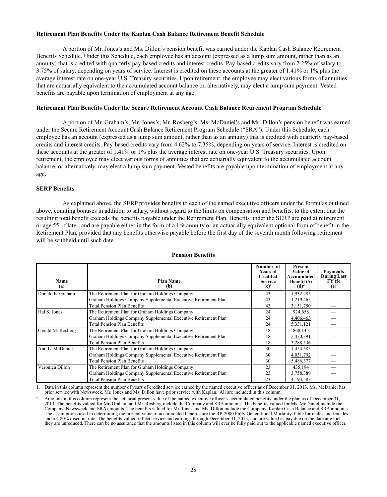### **Retirement Plan Benefits Under the Kaplan Cash Balance Retirement Benefit Schedule**

A portion of Mr. Jones's and Ms. Dillon's pension benefit was earned under the Kaplan Cash Balance Retirement Benefits Schedule. Under this Schedule, each employee has an account (expressed as a lump sum amount, rather than as an annuity) that is credited with quarterly pay-based credits and interest credits. Pay-based credits vary from 2.25% of salary to 3.75% of salary, depending on years of service. Interest is credited on these accounts at the greater of 1.41% or 1% plus the average interest rate on one-year U.S. Treasury securities. Upon retirement, the employee may elect various forms of annuities that are actuarially equivalent to the accumulated account balance or, alternatively, may elect a lump sum payment. Vested benefits are payable upon termination of employment at any age.

### **Retirement Plan Benefits Under the Secure Retirement Account Cash Balance Retirement Program Schedule**

A portion of Mr. Graham's, Mr. Jones's, Mr. Rosberg's, Ms. McDaniel's and Ms. Dillon's pension benefit was earned under the Secure Retirement Account Cash Balance Retirement Program Schedule ("SRA"). Under this Schedule, each employee has an account (expressed as a lump sum amount, rather than as an annuity) that is credited with quarterly pay-based credits and interest credits. Pay-based credits vary from 4.62% to 7.35%, depending on years of service. Interest is credited on these accounts at the greater of 1.41% or 1% plus the average interest rate on one-year U.S. Treasury securities. Upon retirement, the employee may elect various forms of annuities that are actuarially equivalent to the accumulated account balance, or alternatively, may elect a lump sum payment. Vested benefits are payable upon termination of employment at any age.

### **SERP Benefits**

As explained above, the SERP provides benefits to each of the named executive officers under the formulas outlined above, counting bonuses in addition to salary, without regard to the limits on compensation and benefits, to the extent that the resulting total benefit exceeds the benefits payable under the Retirement Plan. Benefits under the SERP are paid at retirement or age 55, if later, and are payable either in the form of a life annuity or an actuarially equivalent optional form of benefit in the Retirement Plan, provided that any benefits otherwise payable before the first day of the seventh month following retirement will be withheld until such date.

| Name<br>(a)                                                         | <b>Plan Name</b><br>(b)                                        | Number of<br>Years of<br><b>Credited</b><br><b>Service</b><br>(c) | Present<br>Value of<br>Accumulated<br>Benefit (\$)<br>(d) | <b>Payments</b><br><b>During Last</b><br>FY(\$)<br>(e) |
|---------------------------------------------------------------------|----------------------------------------------------------------|-------------------------------------------------------------------|-----------------------------------------------------------|--------------------------------------------------------|
| Donald E. Graham<br>The Retirement Plan for Graham Holdings Company |                                                                | 43                                                                | 1,932,285                                                 |                                                        |
|                                                                     | Graham Holdings Company Supplemental Executive Retirement Plan | 43                                                                | 1,219,465                                                 |                                                        |
|                                                                     | <b>Total Pension Plan Benefits</b>                             | 43                                                                | 3,151,750                                                 |                                                        |
| Hal S. Jones                                                        | The Retirement Plan for Graham Holdings Company                | 24                                                                | 924,658                                                   |                                                        |
|                                                                     | Graham Holdings Company Supplemental Executive Retirement Plan | 24                                                                | 4,406,463                                                 |                                                        |
|                                                                     | <b>Total Pension Plan Benefits</b>                             | 24                                                                | 5,331,121                                                 |                                                        |
| Gerald M. Rosberg                                                   | The Retirement Plan for Graham Holdings Company                | 18                                                                | 868,145                                                   |                                                        |
|                                                                     | Graham Holdings Company Supplemental Executive Retirement Plan | 18                                                                | 2,420,391                                                 |                                                        |
|                                                                     | <b>Total Pension Plan Benefits</b>                             | 18                                                                | 3,288,536                                                 |                                                        |
| Ann L. McDaniel                                                     | The Retirement Plan for Graham Holdings Company                | 30                                                                | 1,454,585                                                 |                                                        |
|                                                                     | Graham Holdings Company Supplemental Executive Retirement Plan | 30                                                                | 4,031,792                                                 |                                                        |
|                                                                     | <b>Total Pension Plan Benefits</b>                             | 30                                                                | 5,486,377                                                 |                                                        |
| Veronica Dillon                                                     | The Retirement Plan for Graham Holdings Company                | 23                                                                | 435,194                                                   |                                                        |
|                                                                     | Graham Holdings Company Supplemental Executive Retirement Plan | 23                                                                | 3,758,389                                                 |                                                        |
|                                                                     | <b>Total Pension Plan Benefits</b>                             | 23                                                                | 4,193,583                                                 |                                                        |

### **Pension Benefits**

1. Data in this column represent the number of years of credited service earned by the named executive officer as of December 31, 2013. Ms. McDaniel has prior service with Newsweek. Mr. Jones and Ms. Dillon have prior service with Kaplan. All are included in this column.

2. Amounts in this column represent the actuarial present value of the named executive officer's accumulated benefits under the plan as of December 31, 2013. The benefits valued for Mr. Graham and Mr. Rosberg include the Company and SRA amounts. The benefits valued for Ms. McDaniel include the Company, Newsweek and SRA amounts. The benefits valued for Mr. Jones and Ms. Dillon include the Company, Kaplan Cash Balance and SRA amounts. The assumptions used in determining the present value of accumulated benefits are the RP-2000 Fully Generational Mortality Table for males and females and a 4.80% discount rate. The benefits valued reflect service and earnings through December 31, 2013, and are valued as payable on the date at which they are unreduced. There can be no assurance that the amounts listed in this column will ever be fully paid out to the applicable named executive officer.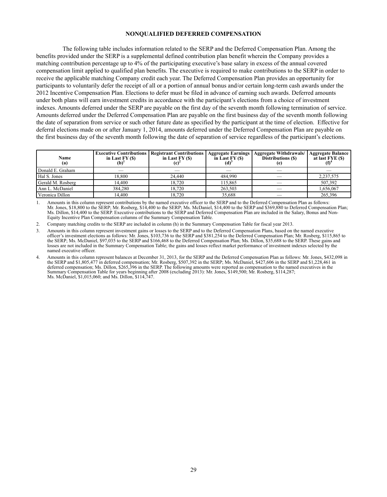### **NONQUALIFIED DEFERRED COMPENSATION**

The following table includes information related to the SERP and the Deferred Compensation Plan. Among the benefits provided under the SERP is a supplemental defined contribution plan benefit wherein the Company provides a matching contribution percentage up to 4% of the participating executive's base salary in excess of the annual covered compensation limit applied to qualified plan benefits. The executive is required to make contributions to the SERP in order to receive the applicable matching Company credit each year. The Deferred Compensation Plan provides an opportunity for participants to voluntarily defer the receipt of all or a portion of annual bonus and/or certain long-term cash awards under the 2012 Incentive Compensation Plan. Elections to defer must be filed in advance of earning such awards. Deferred amounts under both plans will earn investment credits in accordance with the participant's elections from a choice of investment indexes. Amounts deferred under the SERP are payable on the first day of the seventh month following termination of service. Amounts deferred under the Deferred Compensation Plan are payable on the first business day of the seventh month following the date of separation from service or such other future date as specified by the participant at the time of election. Effective for deferral elections made on or after January 1, 2014, amounts deferred under the Deferred Compensation Plan are payable on the first business day of the seventh month following the date of separation of service regardless of the participant's elections.

| Name<br>(a)       | <b>Executive Contributions</b><br>in Last $FY(S)$<br>(b) | <b>Registrant Contributions</b><br>in Last $FY(S)$ | <b>Aggregate Earnings</b><br>in Last $FY(S)$ | Aggregate Withdrawals/<br>Distributions (\$) | '   Aggregate Balance<br>at last FYE (\$) |
|-------------------|----------------------------------------------------------|----------------------------------------------------|----------------------------------------------|----------------------------------------------|-------------------------------------------|
| Donald E. Graham  |                                                          |                                                    |                                              |                                              |                                           |
| Hal S. Jones      | 18,800                                                   | 24,440                                             | 484,990                                      |                                              | 2,237,575                                 |
| Gerald M. Rosberg | 14.400                                                   | 18.720                                             | 115.865                                      |                                              | 507,392                                   |
| Ann L. McDaniel   | 384.280                                                  | 18.720                                             | 263,503                                      |                                              | 1,656,067                                 |
| Veronica Dillon   | 14.400                                                   | 18,720                                             | 35,688                                       |                                              | 265,396                                   |

1. Amounts in this column represent contributions by the named executive officer to the SERP and to the Deferred Compensation Plan as follows: Mr. Jones, \$18,800 to the SERP; Mr. Rosberg, \$14,400 to the SERP; Ms. McDaniel, \$14,400 to the SERP and \$369,880 to Deferred Compensation Plan; Ms. Dillon, \$14,400 to the SERP. Executive contributions to the SERP and Deferred Compensation Plan are included in the Salary, Bonus and Non-Equity Incentive Plan Compensation columns of the Summary Compensation Table.

2. Company matching credits to the SERP are included in column (h) in the Summary Compensation Table for fiscal year 2013.

3. Amounts in this column represent investment gains or losses to the SERP and to the Deferred Compensation Plans, based on the named executive officer's investment elections as follows: Mr. Jones, \$103,736 to the SERP and \$381,254 to the Deferred Compensation Plan; Mr. Rosberg, \$115,865 to the SERP; Ms. McDaniel, \$97,035 to the SERP and \$166,468 to the Deferred Compensation Plan; Ms. Dillon, \$35,688 to the SERP. These gains and losses are not included in the Summary Compensation Table; the gains and losses reflect market performance of investment indexes selected by the named executive officer.

<sup>4.</sup> Amounts in this column represent balances at December 31, 2013, for the SERP and the Deferred Compensation Plan as follows: Mr. Jones, \$432,098 in the SERP and \$1,805,477 in deferred compensation; Mr. Rosberg, \$507,392 in the SERP; Ms. McDaniel, \$427,606 in the SERP and \$1,228,461 in deferred compensation; Ms. Dillon, \$265,396 in the SERP. The following amounts were reported as compensation to the named executives in the Summary Compensation Table for years beginning after 2008 (excluding 2013): Mr. Jones, \$149,500; Mr. Rosberg, \$114,287; Ms. McDaniel, \$1,015,060; and Ms. Dillon, \$114,747.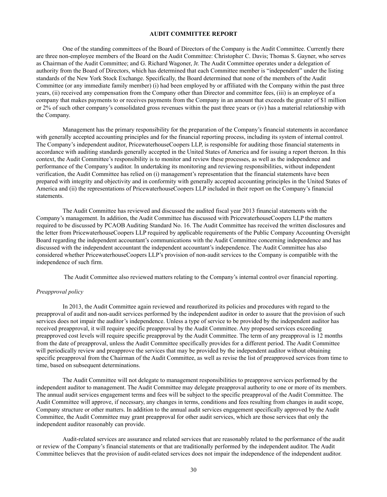### **AUDIT COMMITTEE REPORT**

One of the standing committees of the Board of Directors of the Company is the Audit Committee. Currently there are three non-employee members of the Board on the Audit Committee: Christopher C. Davis; Thomas S. Gayner, who serves as Chairman of the Audit Committee; and G. Richard Wagoner, Jr. The Audit Committee operates under a delegation of authority from the Board of Directors, which has determined that each Committee member is "independent" under the listing standards of the New York Stock Exchange. Specifically, the Board determined that none of the members of the Audit Committee (or any immediate family member) (i) had been employed by or affiliated with the Company within the past three years, (ii) received any compensation from the Company other than Director and committee fees, (iii) is an employee of a company that makes payments to or receives payments from the Company in an amount that exceeds the greater of \$1 million or 2% of such other company's consolidated gross revenues within the past three years or (iv) has a material relationship with the Company.

Management has the primary responsibility for the preparation of the Company's financial statements in accordance with generally accepted accounting principles and for the financial reporting process, including its system of internal control. The Company's independent auditor, PricewaterhouseCoopers LLP, is responsible for auditing those financial statements in accordance with auditing standards generally accepted in the United States of America and for issuing a report thereon. In this context, the Audit Committee's responsibility is to monitor and review these processes, as well as the independence and performance of the Company's auditor. In undertaking its monitoring and reviewing responsibilities, without independent verification, the Audit Committee has relied on (i) management's representation that the financial statements have been prepared with integrity and objectivity and in conformity with generally accepted accounting principles in the United States of America and (ii) the representations of PricewaterhouseCoopers LLP included in their report on the Company's financial statements.

The Audit Committee has reviewed and discussed the audited fiscal year 2013 financial statements with the Company's management. In addition, the Audit Committee has discussed with PricewaterhouseCoopers LLP the matters required to be discussed by PCAOB Auditing Standard No. 16. The Audit Committee has received the written disclosures and the letter from PricewaterhouseCoopers LLP required by applicable requirements of the Public Company Accounting Oversight Board regarding the independent accountant's communications with the Audit Committee concerning independence and has discussed with the independent accountant the independent accountant's independence. The Audit Committee has also considered whether PricewaterhouseCoopers LLP's provision of non-audit services to the Company is compatible with the independence of such firm.

The Audit Committee also reviewed matters relating to the Company's internal control over financial reporting.

# *Preapproval policy*

In 2013, the Audit Committee again reviewed and reauthorized its policies and procedures with regard to the preapproval of audit and non-audit services performed by the independent auditor in order to assure that the provision of such services does not impair the auditor's independence. Unless a type of service to be provided by the independent auditor has received preapproval, it will require specific preapproval by the Audit Committee. Any proposed services exceeding preapproved cost levels will require specific preapproval by the Audit Committee. The term of any preapproval is 12 months from the date of preapproval, unless the Audit Committee specifically provides for a different period. The Audit Committee will periodically review and preapprove the services that may be provided by the independent auditor without obtaining specific preapproval from the Chairman of the Audit Committee, as well as revise the list of preapproved services from time to time, based on subsequent determinations.

The Audit Committee will not delegate to management responsibilities to preapprove services performed by the independent auditor to management. The Audit Committee may delegate preapproval authority to one or more of its members. The annual audit services engagement terms and fees will be subject to the specific preapproval of the Audit Committee. The Audit Committee will approve, if necessary, any changes in terms, conditions and fees resulting from changes in audit scope, Company structure or other matters. In addition to the annual audit services engagement specifically approved by the Audit Committee, the Audit Committee may grant preapproval for other audit services, which are those services that only the independent auditor reasonably can provide.

Audit-related services are assurance and related services that are reasonably related to the performance of the audit or review of the Company's financial statements or that are traditionally performed by the independent auditor. The Audit Committee believes that the provision of audit-related services does not impair the independence of the independent auditor.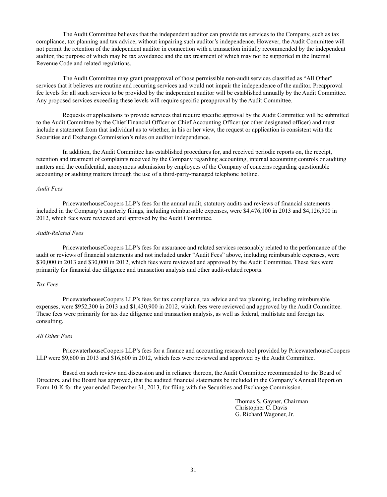The Audit Committee believes that the independent auditor can provide tax services to the Company, such as tax compliance, tax planning and tax advice, without impairing such auditor's independence. However, the Audit Committee will not permit the retention of the independent auditor in connection with a transaction initially recommended by the independent auditor, the purpose of which may be tax avoidance and the tax treatment of which may not be supported in the Internal Revenue Code and related regulations.

The Audit Committee may grant preapproval of those permissible non-audit services classified as "All Other" services that it believes are routine and recurring services and would not impair the independence of the auditor. Preapproval fee levels for all such services to be provided by the independent auditor will be established annually by the Audit Committee. Any proposed services exceeding these levels will require specific preapproval by the Audit Committee.

Requests or applications to provide services that require specific approval by the Audit Committee will be submitted to the Audit Committee by the Chief Financial Officer or Chief Accounting Officer (or other designated officer) and must include a statement from that individual as to whether, in his or her view, the request or application is consistent with the Securities and Exchange Commission's rules on auditor independence.

In addition, the Audit Committee has established procedures for, and received periodic reports on, the receipt, retention and treatment of complaints received by the Company regarding accounting, internal accounting controls or auditing matters and the confidential, anonymous submission by employees of the Company of concerns regarding questionable accounting or auditing matters through the use of a third-party-managed telephone hotline.

### *Audit Fees*

PricewaterhouseCoopers LLP's fees for the annual audit, statutory audits and reviews of financial statements included in the Company's quarterly filings, including reimbursable expenses, were \$4,476,100 in 2013 and \$4,126,500 in 2012, which fees were reviewed and approved by the Audit Committee.

### *Audit-Related Fees*

PricewaterhouseCoopers LLP's fees for assurance and related services reasonably related to the performance of the audit or reviews of financial statements and not included under "Audit Fees" above, including reimbursable expenses, were \$30,000 in 2013 and \$30,000 in 2012, which fees were reviewed and approved by the Audit Committee. These fees were primarily for financial due diligence and transaction analysis and other audit-related reports.

### *Tax Fees*

PricewaterhouseCoopers LLP's fees for tax compliance, tax advice and tax planning, including reimbursable expenses, were \$952,300 in 2013 and \$1,430,900 in 2012, which fees were reviewed and approved by the Audit Committee. These fees were primarily for tax due diligence and transaction analysis, as well as federal, multistate and foreign tax consulting.

### *All Other Fees*

PricewaterhouseCoopers LLP's fees for a finance and accounting research tool provided by PricewaterhouseCoopers LLP were \$9,600 in 2013 and \$16,600 in 2012, which fees were reviewed and approved by the Audit Committee.

Based on such review and discussion and in reliance thereon, the Audit Committee recommended to the Board of Directors, and the Board has approved, that the audited financial statements be included in the Company's Annual Report on Form 10-K for the year ended December 31, 2013, for filing with the Securities and Exchange Commission.

> Thomas S. Gayner, Chairman Christopher C. Davis G. Richard Wagoner, Jr.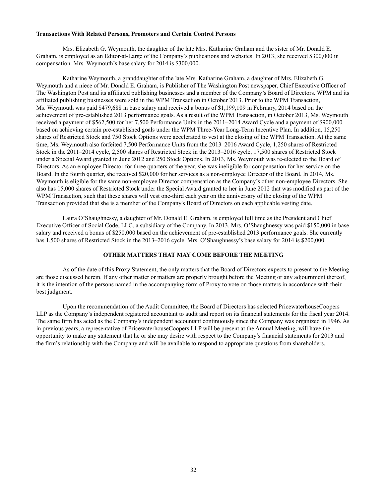### **Transactions With Related Persons, Promoters and Certain Control Persons**

Mrs. Elizabeth G. Weymouth, the daughter of the late Mrs. Katharine Graham and the sister of Mr. Donald E. Graham, is employed as an Editor-at-Large of the Company's publications and websites. In 2013, she received \$300,000 in compensation. Mrs. Weymouth's base salary for 2014 is \$300,000.

Katharine Weymouth, a granddaughter of the late Mrs. Katharine Graham, a daughter of Mrs. Elizabeth G. Weymouth and a niece of Mr. Donald E. Graham, is Publisher of The Washington Post newspaper, Chief Executive Officer of The Washington Post and its affiliated publishing businesses and a member of the Company's Board of Directors. WPM and its affiliated publishing businesses were sold in the WPM Transaction in October 2013. Prior to the WPM Transaction, Ms. Weymouth was paid \$479,688 in base salary and received a bonus of \$1,199,109 in February, 2014 based on the achievement of pre-established 2013 performance goals. As a result of the WPM Transaction, in October 2013, Ms. Weymouth received a payment of \$562,500 for her 7,500 Performance Units in the 2011–2014 Award Cycle and a payment of \$900,000 based on achieving certain pre-established goals under the WPM Three-Year Long-Term Incentive Plan. In addition, 15,250 shares of Restricted Stock and 750 Stock Options were accelerated to vest at the closing of the WPM Transaction. At the same time, Ms. Weymouth also forfeited 7,500 Performance Units from the 2013–2016 Award Cycle, 1,250 shares of Restricted Stock in the 2011–2014 cycle, 2,500 shares of Restricted Stock in the 2013–2016 cycle, 17,500 shares of Restricted Stock under a Special Award granted in June 2012 and 250 Stock Options. In 2013, Ms. Weymouth was re-elected to the Board of Directors. As an employee Director for three quarters of the year, she was ineligible for compensation for her service on the Board. In the fourth quarter, she received \$20,000 for her services as a non-employee Director of the Board. In 2014, Ms. Weymouth is eligible for the same non-employee Director compensation as the Company's other non-employee Directors. She also has 15,000 shares of Restricted Stock under the Special Award granted to her in June 2012 that was modified as part of the WPM Transaction, such that these shares will vest one-third each year on the anniversary of the closing of the WPM Transaction provided that she is a member of the Company's Board of Directors on each applicable vesting date.

Laura O'Shaughnessy, a daughter of Mr. Donald E. Graham, is employed full time as the President and Chief Executive Officer of Social Code, LLC, a subsidiary of the Company. In 2013, Mrs. O'Shaughnessy was paid \$150,000 in base salary and received a bonus of \$250,000 based on the achievement of pre-established 2013 performance goals. She currently has 1,500 shares of Restricted Stock in the 2013–2016 cycle. Mrs. O'Shaughnessy's base salary for 2014 is \$200,000.

### **OTHER MATTERS THAT MAY COME BEFORE THE MEETING**

As of the date of this Proxy Statement, the only matters that the Board of Directors expects to present to the Meeting are those discussed herein. If any other matter or matters are properly brought before the Meeting or any adjournment thereof, it is the intention of the persons named in the accompanying form of Proxy to vote on those matters in accordance with their best judgment.

Upon the recommendation of the Audit Committee, the Board of Directors has selected PricewaterhouseCoopers LLP as the Company's independent registered accountant to audit and report on its financial statements for the fiscal year 2014. The same firm has acted as the Company's independent accountant continuously since the Company was organized in 1946. As in previous years, a representative of PricewaterhouseCoopers LLP will be present at the Annual Meeting, will have the opportunity to make any statement that he or she may desire with respect to the Company's financial statements for 2013 and the firm's relationship with the Company and will be available to respond to appropriate questions from shareholders.